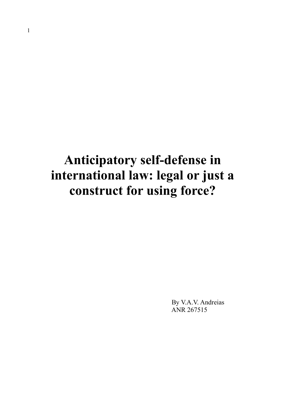# **Anticipatory self-defense in international law: legal or just a construct for using force?**

 By V.A.V. Andreias ANR 267515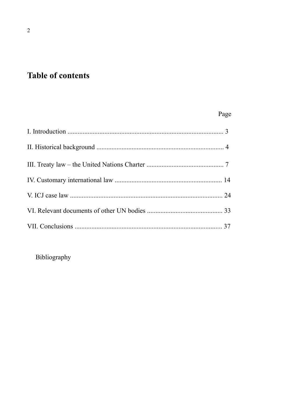# **Table of contents**

## Page

Bibliography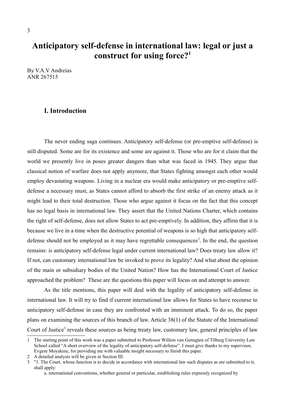### **Anticipatory self-defense in international law: legal or just a construct for using force?[1](#page-2-0)**

By V.A.V Andreias ANR 267515

#### **I. Introduction**

The never ending saga continues. Anticipatory self-defense (or pre-emptive self-defense) is still disputed. Some are for its existence and some are against it. Those who are for it claim that the world we presently live in poses greater dangers than what was faced in 1945. They argue that classical notion of warfare does not apply anymore, that States fighting amongst each other would employ devastating weapons. Living in a nuclear era would make anticipatory or pre-emptive selfdefense a necessary must, as States cannot afford to absorb the first strike of an enemy attack as it might lead to their total destruction. Those who argue against it focus on the fact that this concept has no legal basis in international law. They assert that the United Nations Charter, which contains the right of self-defense, does not allow States to act pre-emptively. In addition, they affirm that it is because we live in a time when the destructive potential of weapons is so high that anticipatory self-defense should not be employed as it may have regrettable consequences<sup>[2](#page-2-1)</sup>. In the end, the question remains: is anticipatory self-defense legal under current international law? Does treaty law allow it? If not, can customary international law be invoked to prove its legality? And what about the opinion of the main or subsidiary bodies of the United Nation? How has the International Court of Justice approached the problem? These are the questions this paper will focus on and attempt to answer.

As the title mentions, this paper will deal with the legality of anticipatory self-defense in international law. It will try to find if current international law allows for States to have recourse to anticipatory self-defense in case they are confronted with an imminent attack. To do so, the paper plans on examining the sources of this branch of law. Article 38(1) of the Statute of the International Court of Justice<sup>[3](#page-2-2)</sup> reveals these sources as being treaty law, customary law, general principles of law

<span id="page-2-0"></span><sup>1</sup> The starting point of this work was a paper submitted to Professor Willem van Genugten of Tilburg University Law School called "A short overview of the legality of anticipatory self-defense". I must give thanks to my supervisor, Evgeni Moyakine, for providing me with valuable insight necessary to finish this paper.

<span id="page-2-1"></span><sup>2</sup> A detailed analysis will be given in Section III.

<span id="page-2-2"></span><sup>3</sup> "1. The Court, whose function is to decide in accordance with international law such disputes as are submitted to it, shall apply:

a. international conventions, whether general or particular, establishing rules expressly recognized by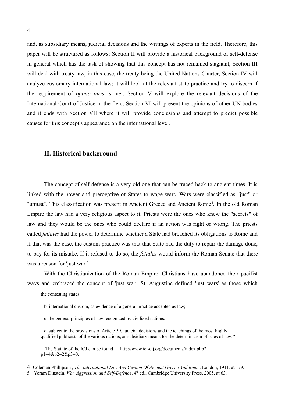and, as subsidiary means, judicial decisions and the writings of experts in the field. Therefore, this paper will be structured as follows: Section II will provide a historical background of self-defense in general which has the task of showing that this concept has not remained stagnant, Section III will deal with treaty law, in this case, the treaty being the United Nations Charter, Section IV will analyze customary international law; it will look at the relevant state practice and try to discern if the requirement of *opinio iuris* is met; Section V will explore the relevant decisions of the International Court of Justice in the field, Section VI will present the opinions of other UN bodies and it ends with Section VII where it will provide conclusions and attempt to predict possible causes for this concept's appearance on the international level.

#### **II. Historical background**

The concept of self-defense is a very old one that can be traced back to ancient times. It is linked with the power and prerogative of States to wage wars. Wars were classified as "just" or "unjust". This classification was present in Ancient Greece and Ancient Rome<sup>[4](#page-3-0)</sup>. In the old Roman Empire the law had a very religious aspect to it. Priests were the ones who knew the "secrets" of law and they would be the ones who could declare if an action was right or wrong. The priests called *fetiales* had the power to determine whether a State had breached its obligations to Rome and if that was the case, the custom practice was that that State had the duty to repair the damage done, to pay for its mistake. If it refused to do so, the *fetiales* would inform the Roman Senate that there was a reason for 'just war<sup>1[5](#page-3-1)</sup>.

With the Christianization of the Roman Empire, Christians have abandoned their pacifist ways and embraced the concept of 'just war'. St. Augustine defined 'just wars' as those which

 The Statute of the ICJ can be found at http://www.icj-cij.org/documents/index.php? p1=4&p2=2&p3=0.

the contesting states;

b. international custom, as evidence of a general practice accepted as law;

c. the general principles of law recognized by civilized nations;

d. subject to the provisions of Article 59, judicial decisions and the teachings of the most highly qualified publicists of the various nations, as subsidiary means for the determination of rules of law. "

<span id="page-3-0"></span><sup>4</sup>Coleman Phillipson , *The International Law And Custom Of Ancient Greece And Rome*, London, 1911, at 179.

<span id="page-3-1"></span><sup>5</sup> Yoram Dinstein, *War, Aggression and Self-Defence*, 4<sup>th</sup> ed., Cambridge University Press, 2005, at 63.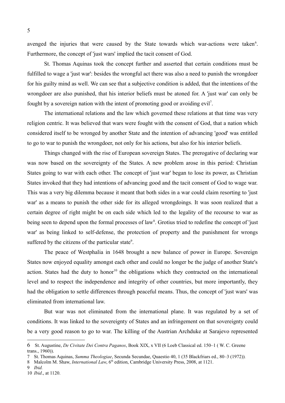avenged the injuries that were caused by the State towards which war-actions were taken<sup>[6](#page-4-0)</sup>. Furthermore, the concept of 'just wars' implied the tacit consent of God.

St. Thomas Aquinas took the concept further and asserted that certain conditions must be fulfilled to wage a 'just war': besides the wrongful act there was also a need to punish the wrongdoer for his guilty mind as well. We can see that a subjective condition is added, that the intentions of the wrongdoer are also punished, that his interior beliefs must be atoned for. A 'just war' can only be fought by a sovereign nation with the intent of promoting good or avoiding evil[7](#page-4-1) .

The international relations and the law which governed these relations at that time was very religion centric. It was believed that wars were fought with the consent of God, that a nation which considered itself to be wronged by another State and the intention of advancing 'good' was entitled to go to war to punish the wrongdoer, not only for his actions, but also for his interior beliefs.

Things changed with the rise of European sovereign States. The prerogative of declaring war was now based on the sovereignty of the States. A new problem arose in this period: Christian States going to war with each other. The concept of 'just war' began to lose its power, as Christian States invoked that they had intentions of advancing good and the tacit consent of God to wage war. This was a very big dilemma because it meant that both sides in a war could claim resorting to 'just war' as a means to punish the other side for its alleged wrongdoings. It was soon realized that a certain degree of right might be on each side which led to the legality of the recourse to war as being seen to depend upon the formal processes of law<sup>[8](#page-4-2)</sup>. Grotius tried to redefine the concept of 'just war' as being linked to self-defense, the protection of property and the punishment for wrongs suffered by the citizens of the particular state<sup>[9](#page-4-3)</sup>.

The peace of Westphalia in 1648 brought a new balance of power in Europe. Sovereign States now enjoyed equality amongst each other and could no longer be the judge of another State's action. States had the duty to honor<sup>[10](#page-4-4)</sup> the obligations which they contracted on the international level and to respect the independence and integrity of other countries, but more importantly, they had the obligation to settle differences through peaceful means. Thus, the concept of 'just wars' was eliminated from international law.

But war was not eliminated from the international plane. It was regulated by a set of conditions. It was linked to the sovereignty of States and an infringement on that sovereignty could be a very good reason to go to war. The killing of the Austrian Archduke at Sarajevo represented

<span id="page-4-0"></span><sup>6</sup> St. Augustine, *De Civitate Dei Contra Paganos*, Book XIX, x VII (6 Loeb Classical ed. 150–1 ( W. C. Greene trans., 1960)).

<span id="page-4-1"></span><sup>7</sup> St. Thomas Aquinas, *Summa Theologiae*, Secunda Secundae, Quaestio 40, 1 (35 Blackfriars ed., 80–3 (1972)).

<span id="page-4-2"></span><sup>8</sup> Malcolm M. Shaw, *International Law*, 6<sup>th</sup> edition, Cambridge University Press, 2008, at 1121.

<span id="page-4-3"></span><sup>9</sup> *Ibid.*

<span id="page-4-4"></span><sup>10</sup> *Ibid*., at 1120.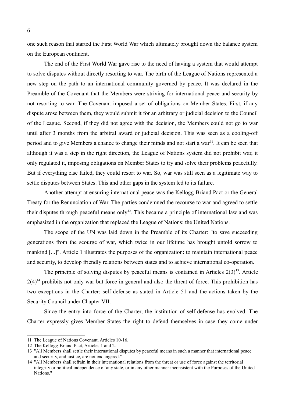one such reason that started the First World War which ultimately brought down the balance system on the European continent.

The end of the First World War gave rise to the need of having a system that would attempt to solve disputes without directly resorting to war. The birth of the League of Nations represented a new step on the path to an international community governed by peace. It was declared in the Preamble of the Covenant that the Members were striving for international peace and security by not resorting to war. The Covenant imposed a set of obligations on Member States. First, if any dispute arose between them, they would submit it for an arbitrary or judicial decision to the Council of the League. Second, if they did not agree with the decision, the Members could not go to war until after 3 months from the arbitral award or judicial decision. This was seen as a cooling-off period and to give Members a chance to change their minds and not start a war<sup>[11](#page-5-0)</sup>. It can be seen that although it was a step in the right direction, the League of Nations system did not prohibit war, it only regulated it, imposing obligations on Member States to try and solve their problems peacefully. But if everything else failed, they could resort to war. So, war was still seen as a legitimate way to settle disputes between States. This and other gaps in the system led to its failure.

Another attempt at ensuring international peace was the Kellogg-Briand Pact or the General Treaty for the Renunciation of War. The parties condemned the recourse to war and agreed to settle their disputes through peaceful means only<sup>[12](#page-5-1)</sup>. This became a principle of international law and was emphasized in the organization that replaced the League of Nations: the United Nations.

The scope of the UN was laid down in the Preamble of its Charter: "to save succeeding generations from the scourge of war, which twice in our lifetime has brought untold sorrow to mankind [...]". Article 1 illustrates the purposes of the organization: to maintain international peace and security, to develop friendly relations between states and to achieve international co-operation.

The principle of solving disputes by peaceful means is contained in Articles  $2(3)^{13}$  $2(3)^{13}$  $2(3)^{13}$ . Article  $2(4)^{14}$  $2(4)^{14}$  $2(4)^{14}$  prohibits not only war but force in general and also the threat of force. This prohibition has two exceptions in the Charter: self-defense as stated in Article 51 and the actions taken by the Security Council under Chapter VII.

Since the entry into force of the Charter, the institution of self-defense has evolved. The Charter expressly gives Member States the right to defend themselves in case they come under

<span id="page-5-0"></span><sup>11</sup> The League of Nations Covenant, Articles 10-16.

<span id="page-5-1"></span><sup>12</sup> The Kellogg-Briand Pact, Articles 1 and 2.

<span id="page-5-2"></span><sup>13</sup> "All Members shall settle their international disputes by peaceful means in such a manner that international peace and security, and justice, are not endangered."

<span id="page-5-3"></span><sup>14</sup> "All Members shall refrain in their international relations from the threat or use of force against the territorial integrity or political independence of any state, or in any other manner inconsistent with the Purposes of the United Nations."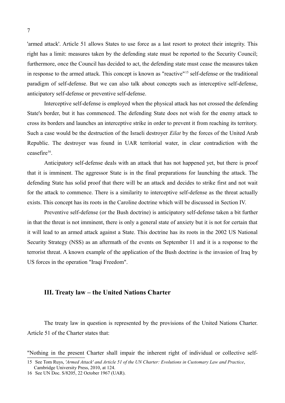'armed attack'. Article 51 allows States to use force as a last resort to protect their integrity. This right has a limit: measures taken by the defending state must be reported to the Security Council; furthermore, once the Council has decided to act, the defending state must cease the measures taken in response to the armed attack. This concept is known as "reactive"[15](#page-6-0) self-defense or the traditional paradigm of self-defense. But we can also talk about concepts such as interceptive self-defense, anticipatory self-defense or preventive self-defense.

Interceptive self-defense is employed when the physical attack has not crossed the defending State's border, but it has commenced. The defending State does not wish for the enemy attack to cross its borders and launches an interceptive strike in order to prevent it from reaching its territory. Such a case would be the destruction of the Israeli destroyer *Eilat* by the forces of the United Arab Republic. The destroyer was found in UAR territorial water, in clear contradiction with the ceasefire<sup>[16](#page-6-1)</sup>.

Anticipatory self-defense deals with an attack that has not happened yet, but there is proof that it is imminent. The aggressor State is in the final preparations for launching the attack. The defending State has solid proof that there will be an attack and decides to strike first and not wait for the attack to commence. There is a similarity to interceptive self-defense as the threat actually exists. This concept has its roots in the Caroline doctrine which will be discussed in Section IV.

Preventive self-defense (or the Bush doctrine) is anticipatory self-defense taken a bit further in that the threat is not imminent, there is only a general state of anxiety but it is not for certain that it will lead to an armed attack against a State. This doctrine has its roots in the 2002 US National Security Strategy (NSS) as an aftermath of the events on September 11 and it is a response to the terrorist threat. A known example of the application of the Bush doctrine is the invasion of Iraq by US forces in the operation "Iraqi Freedom".

#### **III. Treaty law – the United Nations Charter**

The treaty law in question is represented by the provisions of the United Nations Charter. Article 51 of the Charter states that:

"Nothing in the present Charter shall impair the inherent right of individual or collective self-

<span id="page-6-0"></span><sup>15</sup> See Tom Ruys, *'Armed Attack' and Article 51 of the UN Charter: Evolutions in Customary Law and Practice*, Cambridge University Press, 2010, at 124.

<span id="page-6-1"></span><sup>16</sup> See UN Doc. S/8205, 22 October 1967 (UAR).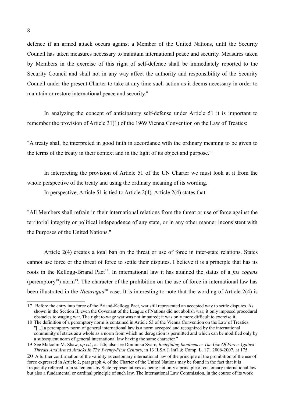defence if an armed attack occurs against a Member of the United Nations, until the Security Council has taken measures necessary to maintain international peace and security. Measures taken by Members in the exercise of this right of self-defence shall be immediately reported to the Security Council and shall not in any way affect the authority and responsibility of the Security Council under the present Charter to take at any time such action as it deems necessary in order to maintain or restore international peace and security."

In analyzing the concept of anticipatory self-defense under Article 51 it is important to remember the provision of Article 31(1) of the 1969 Vienna Convention on the Law of Treaties:

"A treaty shall be interpreted in good faith in accordance with the ordinary meaning to be given to the terms of the treaty in their context and in the light of its object and purpose."

In interpreting the provision of Article 51 of the UN Charter we must look at it from the whole perspective of the treaty and using the ordinary meaning of its wording.

In perspective, Article 51 is tied to Article 2(4). Article 2(4) states that:

"All Members shall refrain in their international relations from the threat or use of force against the territorial integrity or political independence of any state, or in any other manner inconsistent with the Purposes of the United Nations."

Article 2(4) creates a total ban on the threat or use of force in inter-state relations. States cannot use force or the threat of force to settle their disputes. I believe it is a principle that has its roots in the Kellogg-Briand Pact<sup>[17](#page-7-0)</sup>. In international law it has attained the status of a *jus cogens* (peremptory<sup>[18](#page-7-1)</sup>) norm<sup>[19](#page-7-2)</sup>. The character of the prohibition on the use of force in international law has been illustrated in the *Nicaragua*<sup>[20](#page-7-3)</sup> case. It is interesting to note that the wording of Article 2(4) is

<span id="page-7-0"></span><sup>17</sup> Before the entry into force of the Briand-Kellogg Pact, war still represented an accepted way to settle disputes. As shown in the Section II, even the Covenant of the League of Nations did not abolish war; it only imposed procedural obstacles to waging war. The right to wage war was not impaired; it was only more difficult to exercise it.

<span id="page-7-1"></span><sup>18</sup> The definition of a peremptory norm is contained in Article 53 of the Vienna Convention on the Law of Treaties: "[...] a peremptory norm of general international law is a norm accepted and recognized by the international community of states as a whole as a norm from which no derogation is permitted and which can be modified only by a subsequent norm of general international law having the same character."

<span id="page-7-2"></span><sup>19</sup> See Malcolm M. Shaw, *op.cit.*, at 126; also see Dominika Svarc, *Redefining Imminence: The Use Of Force Against Threats And Armed Attacks In The Twenty-First Century*, in 13 ILSA J. Int'l & Comp. L. 171 2006-2007, at 175.

<span id="page-7-3"></span><sup>20</sup> A further confirmation of the validity as customary international law of the principle of the prohibition of the use of force expressed in Article 2, paragraph 4, of the Charter of the United Nations may be found in the fact that it is frequently referred to in statements by State representatives as being not only a principle of customary international law but also a fundamental or cardinal principle of such law. The International Law Commission, in the course of its work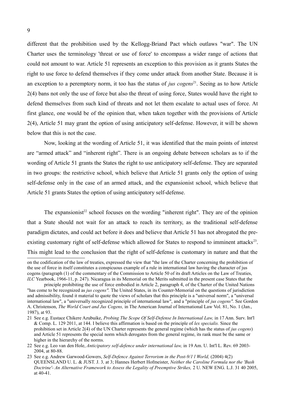different that the prohibition used by the Kellogg-Briand Pact which outlaws "war". The UN Charter uses the terminology 'threat or use of force' to encompass a wider range of actions that could not amount to war. Article 51 represents an exception to this provision as it grants States the right to use force to defend themselves if they come under attack from another State. Because it is an exception to a peremptory norm, it too has the status of *jus cogens*<sup>[21](#page-8-0)</sup>. Seeing as to how Article 2(4) bans not only the use of force but also the threat of using force, States would have the right to defend themselves from such kind of threats and not let them escalate to actual uses of force. At first glance, one would be of the opinion that, when taken together with the provisions of Article 2(4), Article 51 may grant the option of using anticipatory self-defense. However, it will be shown below that this is not the case.

Now, looking at the wording of Article 51, it was identified that the main points of interest are "armed attack" and "inherent right". There is an ongoing debate between scholars as to if the wording of Article 51 grants the States the right to use anticipatory self-defense. They are separated in two groups: the restrictive school, which believe that Article 51 grants only the option of using self-defense only in the case of an armed attack, and the expansionist school, which believe that Article 51 grants States the option of using anticipatory self-defense.

The expansionist<sup>[22](#page-8-1)</sup> school focuses on the wording "inherent right". They are of the opinion that a State should not wait for an attack to reach its territory, as the traditional self-defense paradigm dictates, and could act before it does and believe that Article 51 has not abrogated the pre-existing customary right of self-defense which allowed for States to respond to imminent attacks<sup>[23](#page-8-2)</sup>. This might lead to the conclusion that the right of self-defense is customary in nature and that the

on the codification of the law of treaties, expressed the view that "the law of the Charter concerning the prohibition of the use of force in itself constitutes a conspicuous example of a rule in international law having the character of jus cogens (paragraph (1) of the commentary of the Commission to Article 50 of its draft Articles on the Law of Treaties, *ILC* Yearbook, 1966-11, p. 247). Nicaragua in its Memorial on the Merits submitted in the present case States that the

principle prohibiting the use of force embodied in Article 2, paragraph 4, of the Charter of the United Nations "has come to be recognized as *jus cogens".* The United States, in its Counter-Memorial on the questions of jurisdiction and admissibility, found it material to quote the views of scholars that this principle is a "universal norm", a "universal international law", a "universally recognized principle of international law", and a "principle of *jus cogens".* See Gordon A. Christenson, *The World Court and Jus Cogens,* in The American Journal of International Law Vol. 81, No. 1 (Jan., 1987), at 93.

<span id="page-8-0"></span><sup>21</sup> See e.g. Eustace Chikere Azubuike, *Probing The Scope Of Self-Defense In International Law,* in 17 Ann. Surv. Int'l & Comp. L. 129 2011, at 144. I believe this affirmation is based on the principle of *lex specialis.* Since the prohibition set in Article 2(4) of the UN Charter represents the general regime (which has the status of *jus cogens*) and Article 51 represents the special norm which derogates from the general regime, its rank must be the same or higher in the hierarchy of the norms.

<span id="page-8-1"></span><sup>22</sup> See e.g. Leo van den Hole, *Anticipatory self-defence under international law,* in 19 Am. U. Int'l L. Rev. 69 2003- 2004, at 80-88.

<span id="page-8-2"></span><sup>23</sup> See e.g. Andrew Garwood-Gowers, *Self-Defence Against Terrorism in the Post-9/1 l World*, (2004) 4(2) QUEENSLAND U. L. & JUST. J. 3*,* at 3; Hannes Herbert Hofmeister, *Neither the Caroline Formula nor the 'Bush Doctrine'- An Alternative Framework to Assess the Legality of Preemptive Strikes,* 2 U. NEW ENG. L.J. 31 40 2005, at 40-41.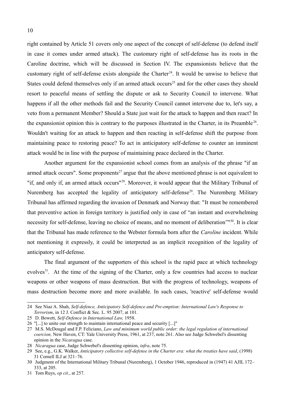right contained by Article 51 covers only one aspect of the concept of self-defense (to defend itself in case it comes under armed attack). The customary right of self-defense has its roots in the Caroline doctrine, which will be discussed in Section IV. The expansionists believe that the customary right of self-defense exists alongside the Charter<sup>[24](#page-9-0)</sup>. It would be unwise to believe that States could defend themselves only if an armed attack occurs<sup>[25](#page-9-1)</sup> and for the other cases they should resort to peaceful means of settling the dispute or ask to Security Council to intervene. What happens if all the other methods fail and the Security Council cannot intervene due to, let's say, a veto from a permanent Member? Should a State just wait for the attack to happen and then react? In the expansionist opinion this is contrary to the purposes illustrated in the Charter, in its Preamble<sup>[26](#page-9-2)</sup>. Wouldn't waiting for an attack to happen and then reacting in self-defense shift the purpose from maintaining peace to restoring peace? To act in anticipatory self-defense to counter an imminent attack would be in line with the purpose of maintaining peace declared in the Charter.

Another argument for the expansionist school comes from an analysis of the phrase "if an armed attack occurs". Some proponents<sup>[27](#page-9-3)</sup> argue that the above mentioned phrase is not equivalent to "if, and only if, an armed attack occurs"[28](#page-9-4). Moreover, it would appear that the Military Tribunal of Nuremberg has accepted the legality of anticipatory self-defense<sup>[29](#page-9-5)</sup>. The Nuremberg Military Tribunal has affirmed regarding the invasion of Denmark and Norway that: "It must be remembered that preventive action in foreign territory is justified only in case of "an instant and overwhelming necessity for self-defense, leaving no choice of means, and no moment of deliberation"<sup>190</sup>. It is clear that the Tribunal has made reference to the Webster formula born after the *Caroline* incident. While not mentioning it expressly, it could be interpreted as an implicit recognition of the legality of anticipatory self-defense.

The final argument of the supporters of this school is the rapid pace at which technology evolves<sup>[31](#page-9-7)</sup>. At the time of the signing of the Charter, only a few countries had access to nuclear weapons or other weapons of mass destruction. But with the progress of technology, weapons of mass destruction become more and more available. In such cases, 'reactive' self-defense would

<span id="page-9-0"></span><sup>24</sup> See Niaz A. Shah, *Self-defence, Anticipatory Self-defence and Pre-emption: International Law's Response to Terrorism*, in 12 J. Conflict & Sec. L. 95 2007, at 101.

<span id="page-9-1"></span><sup>25</sup> D. Bowett, *Self-Defence in International Law,* 1958.

<span id="page-9-2"></span><sup>26</sup> "[...] to unite our strength to maintain international peace and security [...]"

<span id="page-9-3"></span><sup>27</sup> M.S. McDougal and F.P. Feliciano, *Law and minimum world public order: the legal regulation of international coercion,* New Haven, CT: Yale University Press, 1961, at 237, note 261. Also see Judge Schwebel's dissenting opinion in the *Nicaragua* case.

<span id="page-9-4"></span><sup>28</sup> *Nicaragua* case, Judge Schwebel's dissenting opinion, *infra*, note 75.

<span id="page-9-5"></span><sup>29</sup> See, e.g., G.K. Walker, *Anticipatory collective self-defense in the Charter era: what the treaties have said*, (1998) 31 Cornell ILJ at 321–76.

<span id="page-9-6"></span><sup>30</sup> Judgment of the International Military Tribunal (Nuremberg), 1 October 1946, reproduced in (1947) 41 AJIL 172– 333, at 205.

<span id="page-9-7"></span><sup>31</sup> Tom Ruys, *op cit*., at 257.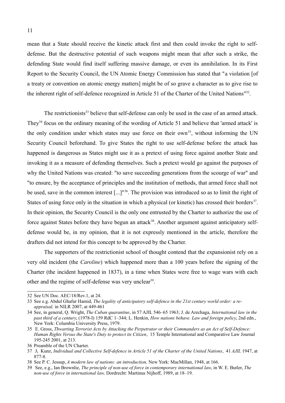mean that a State should receive the kinetic attack first and then could invoke the right to selfdefense. But the destructive potential of such weapons might mean that after such a strike, the defending State would find itself suffering massive damage, or even its annihilation. In its First Report to the Security Council, the UN Atomic Energy Commission has stated that "a violation [of a treaty or convention on atomic energy matters] might be of so grave a character as to give rise to the inherent right of self-defence recognized in Article 51 of the Charter of the United Nations<sup>1[32](#page-10-0)</sup>.

The restrictionists<sup>[33](#page-10-1)</sup> believe that self-defense can only be used in the case of an armed attack. They<sup>[34](#page-10-2)</sup> focus on the ordinary meaning of the wording of Article 51 and believe that 'armed attack' is the only condition under which states may use force on their own<sup>[35](#page-10-3)</sup>, without informing the UN Security Council beforehand. To give States the right to use self-defense before the attack has happened is dangerous as States might use it as a pretext of using force against another State and invoking it as a measure of defending themselves. Such a pretext would go against the purposes of why the United Nations was created: "to save succeeding generations from the scourge of war" and "to ensure, by the acceptance of principles and the institution of methods, that armed force shall not be used, save in the common interest [...]"[36](#page-10-4). The provision was introduced so as to limit the right of States of using force only in the situation in which a physical (or kinetic) has crossed their borders<sup>[37](#page-10-5)</sup>. In their opinion, the Security Council is the only one entrusted by the Charter to authorize the use of force against States before they have begun an attack<sup>[38](#page-10-6)</sup>. Another argument against anticipatory selfdefense would be, in my opinion, that it is not expressly mentioned in the article, therefore the drafters did not intend for this concept to be approved by the Charter.

The supporters of the restrictionist school of thought contend that the expansionist rely on a very old incident (the *Caroline*) which happened more than a 100 years before the signing of the Charter (the incident happened in 1837), in a time when States were free to wage wars with each other and the regime of self-defense was very unclear<sup>[39](#page-10-7)</sup>.

<span id="page-10-0"></span><sup>32</sup> See UN Doc. AEC/18/Rev.1, at 24.

<span id="page-10-1"></span><sup>33</sup> See e.g. Abdul Ghafur Hamid, *The legality of anticipatory self-defence in the 21st century world order: a reappraisal,* in NILR 2007, at 449-461

<span id="page-10-2"></span><sup>34</sup> See, in general, Q. Wright, *The Cuban quarantine*, in 57 AJIL 546–65 1963; J. de Arechaga, *International law in the past third of a century*, (1978-I) 159 RdC 1–344; L. Henkin, *How nations behave. Law and foreign policy*, 2nd edn., New York: Columbia University Press, 1979.

<span id="page-10-3"></span><sup>35</sup> E. Gross, *Thwarting Terrorist Acts by Attacking the Perpetrator or their Commanders as an Act of Self-Defence: Human Rights Versus the State's Duty to protect its Citizen*, 15 Temple International and Comparative Law Journal 195-245 2001, at 213.

<span id="page-10-4"></span><sup>36</sup> Preamble of the UN Charter.

<span id="page-10-5"></span><sup>37</sup> J**.** Kunz, *Individual and Collective Self-defence in Article 51 of the Charter of the United Nations*, 41 *AJIL* 1947, at 877-8.

<span id="page-10-6"></span><sup>38</sup> See P. C. Jessup, *A modern law of nations: an introduction,* New York: MacMillan, 1948, at 166.

<span id="page-10-7"></span><sup>39</sup> See, e.g., Ian Brownlie, *The principle of non-use of force in contemporary international law*, in W. E. Butler, *The non-use of force in international law,* Dordrecht: Martinus Nijhoff, 1989, at 18–19.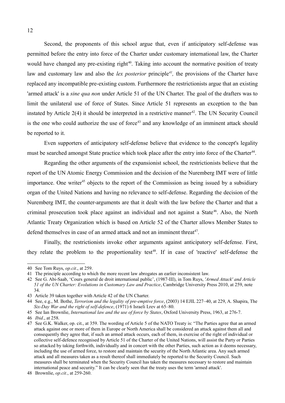Second, the proponents of this school argue that, even if anticipatory self-defense was permitted before the entry into force of the Charter under customary international law, the Charter would have changed any pre-existing right $40$ . Taking into account the normative position of treaty law and customary law and also the *lex posterior* principle<sup>[41](#page-11-1)</sup>, the provisions of the Charter have replaced any incompatible pre-existing custom. Furthermore the restrictionists argue that an existing 'armed attack' is a *sine qua non* under Article 51 of the UN Charter. The goal of the drafters was to limit the unilateral use of force of States. Since Article 51 represents an exception to the ban instated by Article  $2(4)$  it should be interpreted in a restrictive manner<sup>[42](#page-11-2)</sup>. The UN Security Council is the one who could authorize the use of force<sup>[43](#page-11-3)</sup> and any knowledge of an imminent attack should be reported to it.

Even supporters of anticipatory self-defense believe that evidence to the concept's legality must be searched amongst State practice which took place after the entry into force of the Charter<sup>[44](#page-11-4)</sup>.

Regarding the other arguments of the expansionist school, the restrictionists believe that the report of the UN Atomic Energy Commission and the decision of the Nuremberg IMT were of little importance. One writer<sup>[45](#page-11-5)</sup> objects to the report of the Commission as being issued by a subsidiary organ of the United Nations and having no relevance to self-defense. Regarding the decision of the Nuremberg IMT, the counter-arguments are that it dealt with the law before the Charter and that a criminal prosecution took place against an individual and not against a State<sup>[46](#page-11-6)</sup>. Also, the North Atlantic Treaty Organization which is based on Article 52 of the Charter allows Member States to defend themselves in case of an armed attack and not an imminent threat<sup>[47](#page-11-7)</sup>.

Finally, the restrictionists invoke other arguments against anticipatory self-defense. First, they relate the problem to the proportionality test<sup>[48](#page-11-8)</sup>. If in case of 'reactive' self-defense the

<span id="page-11-0"></span><sup>40</sup> See Tom Ruys, *op.cit*., at 259.

<span id="page-11-1"></span><sup>41</sup> The principle according to which the more recent law abrogates an earlier inconsistent law.

<span id="page-11-2"></span><sup>42</sup> See G. Abi-Saab, 'Cours general de droit international public', (1987-III), in Tom Ruys, *'Armed Attack' and Article 51 of the UN Charter: Evolutions in Customary Law and Practice*, Cambridge University Press 2010, at 259, note 34.

<span id="page-11-3"></span><sup>43</sup> Article 39 taken together with Article 42 of the UN Charter.

<span id="page-11-4"></span><sup>44</sup> See, e.g., M. Bothe, *Terrorism and the legality of pre-emptive force*, (2003) 14 EJIL 227–40, at 229, A. Shapira, The *Six-Day War and the right of self-defence*, (1971) 6 Israeli Lrev at 65–80.

<span id="page-11-5"></span><sup>45</sup> See Ian Brownlie, *International law and the use of force by States*, Oxford University Press, 1963, at 276-7.

<span id="page-11-6"></span><sup>46</sup> *Ibid*., at 258.

<span id="page-11-7"></span><sup>47</sup> See G.K. Walker, op. cit., at 359. The wording of Article 5 of the NATO Treaty is: "The Parties agree that an armed attack against one or more of them in Europe or North America shall be considered an attack against them all and consequently they agree that, if such an armed attack occurs, each of them, in exercise of the right of individual or collective self-defence recognised by Article 51 of the Charter of the United Nations, will assist the Party or Parties so attacked by taking forthwith, individually and in concert with the other Parties, such action as it deems necessary, including the use of armed force, to restore and maintain the security of the North Atlantic area. Any such armed attack and all measures taken as a result thereof shall immediately be reported to the Security Council. Such measures shall be terminated when the Security Council has taken the measures necessary to restore and maintain international peace and security." It can be clearly seen that the treaty uses the term 'armed attack'.

<span id="page-11-8"></span><sup>48</sup> Brownlie, *op.cit.*, at 259-260.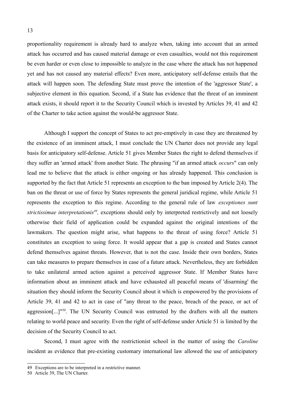proportionality requirement is already hard to analyze when, taking into account that an armed attack has occurred and has caused material damage or even casualties, would not this requirement be even harder or even close to impossible to analyze in the case where the attack has not happened yet and has not caused any material effects? Even more, anticipatory self-defense entails that the attack will happen soon. The defending State must prove the intention of the 'aggressor State', a subjective element in this equation. Second, if a State has evidence that the threat of an imminent attack exists, it should report it to the Security Council which is invested by Articles 39, 41 and 42 of the Charter to take action against the would-be aggressor State.

Although I support the concept of States to act pre-emptively in case they are threatened by the existence of an imminent attack, I must conclude the UN Charter does not provide any legal basis for anticipatory self-defense. Article 51 gives Member States the right to defend themselves if they suffer an 'armed attack' from another State. The phrasing "if an armed attack *occurs*" can only lead me to believe that the attack is either ongoing or has already happened. This conclusion is supported by the fact that Article 51 represents an exception to the ban imposed by Article 2(4). The ban on the threat or use of force by States represents the general juridical regime, while Article 51 represents the exception to this regime. According to the general rule of law *exceptiones sunt* strictissimae interpretationis<sup>[49](#page-12-0)</sup>, exceptions should only by interpreted restrictively and not loosely otherwise their field of application could be expanded against the original intentions of the lawmakers. The question might arise, what happens to the threat of using force? Article 51 constitutes an exception to using force. It would appear that a gap is created and States cannot defend themselves against threats. However, that is not the case. Inside their own borders, States can take measures to prepare themselves in case of a future attack. Nevertheless, they are forbidden to take unilateral armed action against a perceived aggressor State. If Member States have information about an imminent attack and have exhausted all peaceful means of 'disarming' the situation they should inform the Security Council about it which is empowered by the provisions of Article 39, 41 and 42 to act in case of "any threat to the peace, breach of the peace, or act of aggression[...]"<sup>[50](#page-12-1)</sup>. The UN Security Council was entrusted by the drafters with all the matters relating to world peace and security. Even the right of self-defense under Article 51 is limited by the decision of the Security Council to act.

Second, I must agree with the restrictionist school in the matter of using the *Caroline* incident as evidence that pre-existing customary international law allowed the use of anticipatory

<span id="page-12-0"></span><sup>49</sup> Exceptions are to be interpreted in a restrictive manner.

<span id="page-12-1"></span><sup>50</sup> Article 39, The UN Charter.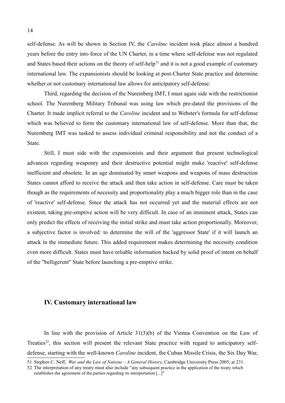self-defense. As will be shown in Section IV, the *Caroline* incident took place almost a hundred years before the entry into force of the UN Charter, in a time where self-defense was not regulated and States based their actions on the theory of self-help<sup>[51](#page-13-0)</sup> and it is not a good example of customary international law. The expansionists should be looking at post-Charter State practice and determine whether or not customary international law allows for anticipatory self-defense.

Third, regarding the decision of the Nuremberg IMT, I must again side with the restrictionist school. The Nuremberg Military Tribunal was using law which pre-dated the provisions of the Charter. It made implicit referral to the *Caroline* incident and to Webster's formula for self-defense which was believed to form the customary international law of self-defense. More than that, the Nuremberg IMT was tasked to assess individual criminal responsibility and not the conduct of a State.

Still, I must side with the expansionists and their argument that present technological advances regarding weaponry and their destructive potential might make 'reactive' self-defense inefficient and obsolete. In an age dominated by smart weapons and weapons of mass destruction States cannot afford to receive the attack and then take action in self-defense. Care must be taken though as the requirements of necessity and proportionality play a much bigger role than in the case of 'reactive' self-defense. Since the attack has not occurred yet and the material effects are not existent, taking pre-emptive action will be very difficult. In case of an imminent attack, States can only predict the effects of receiving the initial strike and must take action proportionally. Moreover, a subjective factor is involved: to determine the will of the 'aggressor State' if it will launch an attack in the immediate future. This added requirement makes determining the necessity condition even more difficult. States must have reliable information backed by solid proof of intent on behalf of the "belligerent" State before launching a pre-emptive strike.

#### **IV. Customary international law**

In line with the provision of Article 31(3)(b) of the Vienna Convention on the Law of Treaties<sup>[52](#page-13-1)</sup>, this section will present the relevant State practice with regard to anticipatory selfdefense, starting with the well-known *Caroline* incident, the Cuban Missile Crisis, the Six Day War,

<span id="page-13-0"></span><sup>51</sup> Stephen C. Neff, *War and the Law of Nations – A General History*, Cambridge University Press 2005, at 231.

<span id="page-13-1"></span><sup>52</sup> The interpretation of any treaty must also include "any subsequent practice in the application of the treaty which establishes the agreement of the parties regarding its interpretation [...]"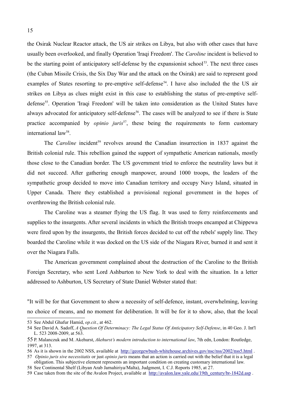the Osirak Nuclear Reactor attack, the US air strikes on Libya, but also with other cases that have usually been overlooked, and finally Operation 'Iraqi Freedom'. The *Caroline* incident is believed to be the starting point of anticipatory self-defense by the expansionist school<sup>[53](#page-14-0)</sup>. The next three cases (the Cuban Missile Crisis, the Six Day War and the attack on the Osirak) are said to represent good examples of States resorting to pre-emptive self-defense<sup>[54](#page-14-1)</sup>. I have also included the the US air strikes on Libya as clues might exist in this case to establishing the status of pre-emptive self-defense<sup>[55](#page-14-2)</sup>. Operation 'Iraqi Freedom' will be taken into consideration as the United States have always advocated for anticipatory self-defense<sup>[56](#page-14-3)</sup>. The cases will be analyzed to see if there is State practice accompanied by *opinio juris*<sup>[57](#page-14-4)</sup>, these being the requirements to form customary international law<sup>[58](#page-14-5)</sup>.

The *Caroline* incident<sup>[59](#page-14-6)</sup> revolves around the Canadian insurrection in 1837 against the British colonial rule. This rebellion gained the support of sympathetic American nationals, mostly those close to the Canadian border. The US government tried to enforce the neutrality laws but it did not succeed. After gathering enough manpower, around 1000 troops, the leaders of the sympathetic group decided to move into Canadian territory and occupy Navy Island, situated in Upper Canada. There they established a provisional regional government in the hopes of overthrowing the British colonial rule.

The Caroline was a steamer flying the US flag. It was used to ferry reinforcements and supplies to the insurgents. After several incidents in which the British troops encamped at Chippewa were fired upon by the insurgents, the British forces decided to cut off the rebels' supply line. They boarded the Caroline while it was docked on the US side of the Niagara River, burned it and sent it over the Niagara Falls.

The American government complained about the destruction of the Caroline to the British Foreign Secretary, who sent Lord Ashburton to New York to deal with the situation. In a letter addressed to Ashburton, US Secretary of State Daniel Webster stated that:

"It will be for that Government to show a necessity of self-defence, instant, overwhelming, leaving no choice of means, and no moment for deliberation. It will be for it to show, also, that the local

<span id="page-14-0"></span><sup>53</sup> See Abdul Ghafur Hamid, *op.cit.*, at 462.

<span id="page-14-1"></span><sup>54</sup> See David A. Sadoff, *A Question Of Determinacy: The Legal Status Of Anticipatory Self-Defense*, in 40 Geo. J. Int'l L. 523 2008-2009, at  $563$ .

<span id="page-14-2"></span><sup>55</sup> P. Malanczuk and M. Akehurst, *Akehurst's modern introduction to international law*, 7th edn, London: Routledge, 1997, at 313.

<span id="page-14-3"></span><sup>56</sup> As it is shown in the 2002 NSS, available at <http://georgewbush-whitehouse.archives.gov/nsc/nss/2002/nss5.html>.

<span id="page-14-4"></span><sup>57</sup> *Opinio juris sive necessitatis* or just *opinio juris* means that an action is carried out with the belief that it is a legal obligation. This subjective element represents an important condition on creating customary international law.

<span id="page-14-5"></span><sup>58</sup> See Continental Shelf (Libyan Arab Jarnahiriya/Malta), Judgment, I. C.J. Reports 1985, at 27.

<span id="page-14-6"></span><sup>59</sup> Case taken from the site of the Avalon Project, available at [http://avalon.law.yale.edu/19th\\_century/br-1842d.asp](http://avalon.law.yale.edu/19th_century/br-1842d.asp) .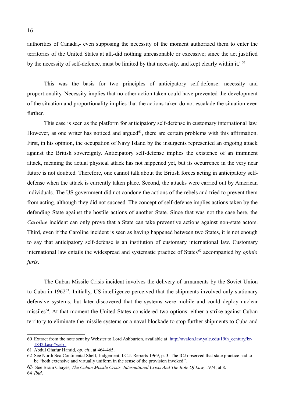authorities of Canada,- even supposing the necessity of the moment authorized them to enter the territories of the United States at all,-did nothing unreasonable or excessive; since the act justified by the necessity of self-defence, must be limited by that necessity, and kept clearly within it."<sup>[60](#page-15-0)</sup>

This was the basis for two principles of anticipatory self-defense: necessity and proportionality. Necessity implies that no other action taken could have prevented the development of the situation and proportionality implies that the actions taken do not escalade the situation even further.

This case is seen as the platform for anticipatory self-defense in customary international law. However, as one writer has noticed and argued<sup> $61$ </sup>, there are certain problems with this affirmation. First, in his opinion, the occupation of Navy Island by the insurgents represented an ongoing attack against the British sovereignty. Anticipatory self-defense implies the existence of an imminent attack, meaning the actual physical attack has not happened yet, but its occurrence in the very near future is not doubted. Therefore, one cannot talk about the British forces acting in anticipatory selfdefense when the attack is currently taken place. Second, the attacks were carried out by American individuals. The US government did not condone the actions of the rebels and tried to prevent them from acting, although they did not succeed. The concept of self-defense implies actions taken by the defending State against the hostile actions of another State. Since that was not the case here, the *Caroline* incident can only prove that a State can take preventive actions against non-state actors. Third, even if the Caroline incident is seen as having happened between two States, it is not enough to say that anticipatory self-defense is an institution of customary international law. Customary international law entails the widespread and systematic practice of States*[62](#page-15-2)* accompanied by *opinio juris*.

The Cuban Missile Crisis incident involves the delivery of armaments by the Soviet Union to Cuba in 1962<sup>[63](#page-15-3)</sup>. Initially, US intelligence perceived that the shipments involved only stationary defensive systems, but later discovered that the systems were mobile and could deploy nuclear missiles<sup>[64](#page-15-4)</sup>. At that moment the United States considered two options: either a strike against Cuban territory to eliminate the missile systems or a naval blockade to stop further shipments to Cuba and

<span id="page-15-4"></span>64 *Ibid*.

<span id="page-15-0"></span><sup>60</sup> Extract from the note sent by Webster to Lord Ashburton, available at [http://avalon.law.yale.edu/19th\\_century/br-](http://avalon.law.yale.edu/19th_century/br-1842d.asp#web1)[1842d.asp#web1](http://avalon.law.yale.edu/19th_century/br-1842d.asp#web1) .

<span id="page-15-1"></span><sup>61</sup> Abdul Ghafur Hamid, *op. cit*., at 464-465.

<span id="page-15-2"></span><sup>62</sup> See North Sea Continental Shelf, Judgement, I.C.J. Reports 1969, p. 3. The ICJ observed that state practice had to be "both extensive and virtually uniform in the sense of the provision invoked".

<span id="page-15-3"></span><sup>63</sup> See Bram Chayes, *The Cuban Missile Crisis: International Crisis And The Role Of Law*, 1974, at 8.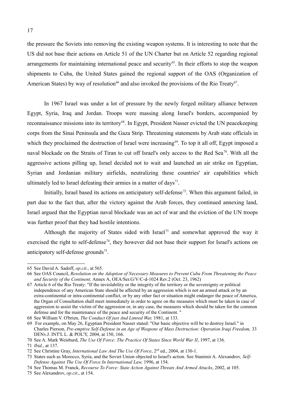the pressure the Soviets into removing the existing weapon systems. It is interesting to note that the US did not base their actions on Article 51 of the UN Charter but on Article 52 regarding regional arrangements for maintaining international peace and security<sup>[65](#page-16-0)</sup>. In their efforts to stop the weapon shipments to Cuba, the United States gained the regional support of the OAS (Organization of American States) by way of resolution<sup>[66](#page-16-1)</sup> and also invoked the provisions of the Rio Treaty<sup>[67](#page-16-2)</sup>.

In 1967 Israel was under a lot of pressure by the newly forged military alliance between Egypt, Syria, Iraq and Jordan. Troops were massing along Israel's borders, accompanied by reconnaissance missions into its territory<sup>[68](#page-16-3)</sup>. In Egypt, President Nasser evicted the UN peacekeeping corps from the Sinai Peninsula and the Gaza Strip. Threatening statements by Arab state officials in which they proclaimed the destruction of Israel were increasing<sup>[69](#page-16-4)</sup>. To top it all off, Egypt imposed a naval blockade on the Straits of Tiran to cut off Israel's only access to the Red Sea<sup>[70](#page-16-5)</sup>. With all the aggressive actions pilling up, Israel decided not to wait and launched an air strike on Egyptian, Syrian and Jordanian military airfields, neutralizing these countries' air capabilities which ultimately led to Israel defeating their armies in a matter of days<sup>[71](#page-16-6)</sup>.

Initially, Israel based its actions on anticipatory self-defense<sup>[72](#page-16-7)</sup>. When this argument failed, in part due to the fact that, after the victory against the Arab forces, they continued annexing land, Israel argued that the Egyptian naval blockade was an act of war and the eviction of the UN troops was further proof that they had hostile intentions.

Although the majority of States sided with Israel<sup>[73](#page-16-8)</sup> and somewhat approved the way it exercised the right to self-defense<sup>[74](#page-16-9)</sup>, they however did not base their support for Israel's actions on anticipatory self-defense grounds<sup>[75](#page-16-10)</sup>.

<span id="page-16-0"></span><sup>65</sup> See David A. Sadoff, *op.cit*., at 565.

<span id="page-16-1"></span><sup>66</sup> See OAS Council, *Resolution on the Adoption of Necessary Measures to Prevent Cuba From Threatening the Peace and Security of the Continent,* Annex A, OEA/Ser.G/V/C-d-1024 Rev.2 (Oct. 23, 1962)

<span id="page-16-2"></span><sup>67</sup> Article 6 of the Rio Treaty: "If the inviolability or the integrity of the territory or the sovereignty or political independence of any American State should be affected by an aggression which is not an armed attack or by an extra-continental or intra-continental conflict, or by any other fact or situation might endanger the peace of America, the Organ of Consultation shall meet immediately in order to agree on the measures which must be taken in case of aggression to assist the victim of the aggression or, in any case, the measures which should be taken for the common defense and for the maintenance of the peace and security of the Continent. "

<span id="page-16-3"></span><sup>68</sup> See William V. O'brien, *The Conduct Of just And Limred War,* 1981, at 133.

<span id="page-16-4"></span><sup>69</sup> For example, on May 26, Egyptian President Nasser stated: "Our basic objective will be to destroy Israel." in Charles Pierson, *Pre-emptive Self-Defense in an Age of Weapons of Mass Destruction: Operation Iraqi Freedom,* 33 DENv.J. INT'L L. & POL'Y, 2004, at 150, 166.

<span id="page-16-5"></span><sup>70</sup> See A. Mark Weisburd, *The Use Of Force: The Practice Of States Since World War II*, 1997, at 136.

<span id="page-16-6"></span><sup>71</sup> *Ibid.*, at 137.

<span id="page-16-7"></span><sup>72</sup> See Christine Gray, *International Law And The Use Of Force*, 2nd ed., 2004, at 130-1.

<span id="page-16-8"></span><sup>73</sup> States such as Morocco, Syria, and the Soviet Union objected to Israel's action. See Stanimir A. Alexandrov*, Self-Defense Against The Use Of Force In International Law,* 1996, at 154.

<span id="page-16-9"></span><sup>74</sup> See Thomas M. Franck, *Recourse To Force: State Action Against Threats And Armed Attacks*, 2002, at 105.

<span id="page-16-10"></span><sup>75</sup> See Alexandrov, *op.cit*., at 154.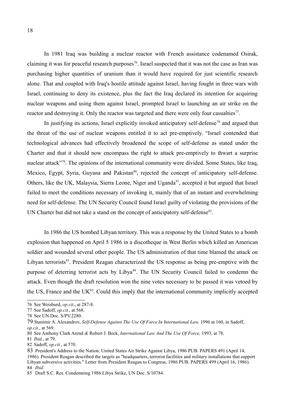In 1981 Iraq was building a nuclear reactor with French assistance codenamed Osirak, claiming it was for peaceful research purposes<sup>[76](#page-17-0)</sup>. Israel suspected that it was not the case as Iran was purchasing higher quantities of uranium than it would have required for just scientific research alone. That and coupled with Iraq's hostile attitude against Israel, having fought in three wars with Israel, continuing to deny its existence, plus the fact the Iraq declared its intention for acquiring nuclear weapons and using them against Israel, prompted Israel to launching an air strike on the reactor and destroying it. Only the reactor was targeted and there were only four casualties $77$ .

In justifying its actions, Israel explicitly invoked anticipatory self-defense<sup>[78](#page-17-2)</sup> and argued that the threat of the use of nuclear weapons entitled it to act pre-emptively. "Israel contended that technological advances had effectively broadened the scope of self-defense as stated under the Charter and that it should now encompass the right to attack pre-emptively to thwart a surprise nuclear attack"<sup>[79](#page-17-3)</sup>. The opinions of the international community were divided. Some States, like Iraq, Mexico, Egypt, Syria, Guyana and Pakistan<sup>[80](#page-17-4)</sup>, rejected the concept of anticipatory self-defense. Others, like the UK, Malaysia, Sierra Leone, Niger and Uganda<sup>[81](#page-17-5)</sup>, accepted it but argued that Israel failed to meet the conditions necessary of invoking it, mainly that of an instant and overwhelming need for self-defense. The UN Security Council found Israel guilty of violating the provisions of the UN Charter but did not take a stand on the concept of anticipatory self-defense<sup>[82](#page-17-6)</sup>.

In 1986 the US bombed Libyan territory. This was a response by the United States to a bomb explosion that happened on April 5 1986 in a discotheque in West Berlin which killed an American soldier and wounded several other people. The US administration of that time blamed the attack on Libvan terrorists<sup>[83](#page-17-7)</sup>. President Reagan characterized the US response as being pre-emptive with the purpose of deterring terrorist acts by Libya<sup>[84](#page-17-8)</sup>. The UN Security Council failed to condemn the attack. Even though the draft resolution won the nine votes necessary to be passed it was vetoed by the US, France and the UK $^{85}$  $^{85}$  $^{85}$ . Could this imply that the international community implicitly accepted

<span id="page-17-0"></span><sup>76</sup> See Weisburd, *op.cit*., at 287-8.

<span id="page-17-1"></span><sup>77</sup> See Sadoff, *op.cit.*, at 568.

<span id="page-17-2"></span><sup>78</sup> See UN Doc. S/PV.2280.

<span id="page-17-3"></span><sup>79</sup> Stanimir A. Alexandrov, *Self-Defense Against The Use Of Force In International Law,* 1996 at 160, in Sadoff, *op.cit*., at 569.

<span id="page-17-4"></span><sup>80</sup> See Anthony Clark Arend *&* Robert J. Beck, *International Law And The Use Of Force,* 1993, at 78.

<span id="page-17-5"></span><sup>81</sup> *Ibid.*, at 79.

<span id="page-17-6"></span><sup>82</sup> Sadoff, *op.cit.*, at 570.

<span id="page-17-7"></span><sup>83</sup> President's Address to the Nation, United States Air Strike Against Libya, 1986 PUB. PAPERS 491 (April 14, 1986)*.* President Reagan described the targets as "headquarters, terrorist facilities and military installations that support Libyan subversive activities." Letter from President Reagan to Congress, 1986 PUB. PAPERS 499 (April 16, 1986). 84 *Ibid*.

<span id="page-17-9"></span><span id="page-17-8"></span><sup>85</sup> Draft S.C. Res. Condemning 1986 Libya Strike, UN Doc. S/10784.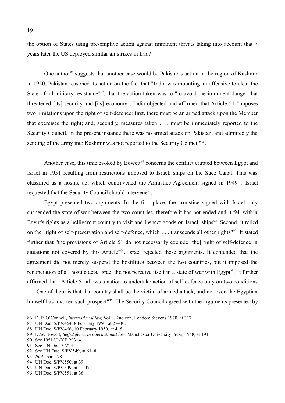the option of States using pre-emptive action against imminent threats taking into account that 7 years later the US deployed similar air strikes in Iraq?

One author<sup>[86](#page-18-0)</sup> suggests that another case would be Pakistan's action in the region of Kashmir in 1950. Pakistan reasoned its action on the fact that "India was mounting an offensive to clear the State of all military resistance"<sup>[87](#page-18-1)</sup>, that the action taken was to "to avoid the imminent danger that threatened [its] security and [its] economy". India objected and affirmed that Article 51 "imposes two limitations upon the right of self-defence: first, there must be an armed attack upon the Member that exercises the right; and, secondly, measures taken . . . must be immediately reported to the Security Council. In the present instance there was no armed attack on Pakistan, and admittedly the sending of the army into Kashmir was not reported to the Security Council"<sup>[88](#page-18-2)</sup>.

Another case, this time evoked by Bowett<sup>[89](#page-18-3)</sup> concerns the conflict erupted between Egypt and Israel in 1951 resulting from restrictions imposed to Israeli ships on the Suez Canal. This was classified as a hostile act which contravened the Armistice Agreement signed in  $1949<sup>90</sup>$  $1949<sup>90</sup>$  $1949<sup>90</sup>$ . Israel requested that the Security Council should intervene<sup>[91](#page-18-5)</sup>.

Egypt presented two arguments. In the first place, the armistice signed with Israel only suspended the state of war between the two countries, therefore it has not ended and it fell within Egypt's rights as a belligerent country to visit and inspect goods on Israeli ships $92$ . Second, it relied on the "right of self-preservation and self-defence, which . . . transcends all other rights"<sup>[93](#page-18-7)</sup>. It stated further that "the provisions of Article 51 do not necessarily exclude [the] right of self-defence in situations not covered by this Article<sup>1[94](#page-18-8)</sup>. Israel rejected these arguments. It contended that the agreement did not merely suspend the hostilities between the two countries, but it imposed the renunciation of all hostile acts. Israel did not perceive itself in a state of war with Egypt<sup>[95](#page-18-9)</sup>. It further affirmed that "Article 51 allows a nation to undertake action of self-defence only on two conditions . . . One of them is that that country shall be the victim of armed attack, and not even the Egyptian himself has invoked such prospect<sup>1[96](#page-18-10)</sup>. The Security Council agreed with the arguments presented by

<span id="page-18-0"></span><sup>86</sup> D. P. O'Connell, *International law,* Vol. I, 2nd edn, London: Stevens 1970, at 317.

<span id="page-18-1"></span><sup>87</sup> UN Doc. S/PV.464, 8 February 1950, at 27–30.

<span id="page-18-2"></span><sup>88</sup> UN Doc. S/PV.466, 10 February 1950, at 4–5.

<span id="page-18-3"></span><sup>89</sup> D.W. Bowett, *Self-defence in international law,* Manchester University Press, 1958, at 191.

<span id="page-18-4"></span><sup>90</sup> See 1951 UNYB 293–4.

<span id="page-18-5"></span><sup>91</sup> See UN Doc. S/2241.

<span id="page-18-6"></span><sup>92</sup> See UN Doc. S/PV.549, at 61–8.

<span id="page-18-7"></span><sup>93</sup> *Ibid.*, para. 78.

<span id="page-18-8"></span><sup>94</sup> UN Doc. S/PV.550, at 39.

<span id="page-18-9"></span><sup>95</sup> UN Doc. S/PV.549, at 11-47.

<span id="page-18-10"></span><sup>96</sup> UN Doc. S/PV.551, at 36.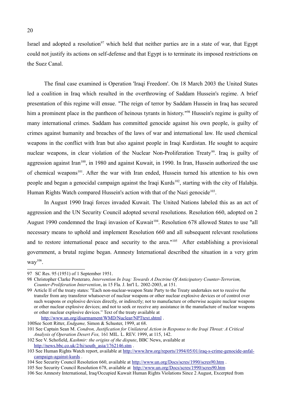Israel and adopted a resolution<sup>[97](#page-19-0)</sup> which held that neither parties are in a state of war, that Egypt could not justify its actions on self-defense and that Egypt is to terminate its imposed restrictions on the Suez Canal.

The final case examined is Operation 'Iraqi Freedom'. On 18 March 2003 the United States led a coalition in Iraq which resulted in the overthrowing of Saddam Hussein's regime. A brief presentation of this regime will ensue. "The reign of terror by Saddam Hussein in Iraq has secured him a prominent place in the pantheon of heinous tyrants in history."<sup>[98](#page-19-1)</sup> Hussein's regime is guilty of many international crimes. Saddam has committed genocide against his own people, is guilty of crimes against humanity and breaches of the laws of war and international law. He used chemical weapons in the conflict with Iran but also against people in Iraqi Kurdistan. He sought to acquire nuclear weapons, in clear violation of the Nuclear Non-Proliferation Treaty<sup>[99](#page-19-2)</sup>. Iraq is guilty of aggression against Iran<sup>[100](#page-19-3)</sup>, in 1980 and against Kuwait, in 1990. In Iran, Hussein authorized the use of chemical weapons<sup>[101](#page-19-4)</sup>. After the war with Iran ended, Hussein turned his attention to his own people and began a genocidal campaign against the Iraqi Kurds<sup>[102](#page-19-5)</sup>, starting with the city of Halabja. Human Rights Watch compared Hussein's action with that of the Nazi genocide<sup>[103](#page-19-6)</sup>.

In August 1990 Iraqi forces invaded Kuwait. The United Nations labeled this as an act of aggression and the UN Security Council adopted several resolutions. Resolution 660, adopted on 2 August 1990 condemned the Iraqi invasion of Kuwait<sup>[104](#page-19-7)</sup>. Resolution 678 allowed States to use "all necessary means to uphold and implement Resolution 660 and all subsequent relevant resolutions and to restore international peace and security to the area."<sup>[105](#page-19-8)</sup> After establishing a provisional government, a brutal regime began. Amnesty International described the situation in a very grim  $way<sup>106</sup>$  $way<sup>106</sup>$  $way<sup>106</sup>$ .

<span id="page-19-0"></span><sup>97</sup> SC Res. 95 (1951) of 1 September 1951.

<span id="page-19-1"></span><sup>98</sup> Christopher Clarke Posteraro*, Intervention In Iraq: Towards A Doctrine Of Anticipatory Counter-Terrorism, Counter-Proliferation Intervention*, in 15 Fla. J. Int'l L. 2002-2003, at 151.

<span id="page-19-2"></span><sup>99</sup> Article II of the treaty states: "Each non-nuclear-weapon State Party to the Treaty undertakes not to receive the transfer from any transferor whatsoever of nuclear weapons or other nuclear explosive devices or of control over such weapons or explosive devices directly, or indirectly; not to manufacture or otherwise acquire nuclear weapons or other nuclear explosive devices; and not to seek or receive any assistance in the manufacture of nuclear weapons or other nuclear explosive devices." Text of the treaty available at <http://www.un.org/disarmament/WMD/Nuclear/NPTtext.shtml>.

<span id="page-19-3"></span><sup>100</sup>See Scott Ritter, *Endgame,* Simon & Schuster, 1999, at 68.

<span id="page-19-4"></span><sup>101</sup> See Captain Sean M. *Condron, Justification for Unilateral Action in Response to the Iraqi Threat: A Critical Analysis of Operation Desert Fox,* 161 MIL. L. REV. 1999, at 115, 142.

<span id="page-19-5"></span><sup>102</sup> See V. Schofield, *Kashmir: the origins of the dispute*, BBC News, available at [http://news.bbc.co.uk/2/hi/south\\_asia/1762146.stm](http://news.bbc.co.uk/2/hi/south_asia/1762146.stm) .

<span id="page-19-6"></span><sup>103</sup> See Human Rights Watch report, available at [http://www.hrw.org/reports/1994/05/01/iraq-s-crime-genocide-anfal](http://www.hrw.org/reports/1994/05/01/iraq-s-crime-genocide-anfal-campaign-against-kurds)[campaign-against-kurds](http://www.hrw.org/reports/1994/05/01/iraq-s-crime-genocide-anfal-campaign-against-kurds) .

<span id="page-19-7"></span><sup>104</sup> See Security Council Resolution 660, available at<http://www.un.org/Docs/scres/1990/scres90.htm>.

<span id="page-19-8"></span><sup>105</sup> See Security Council Resolution 678, available at <http://www.un.org/Docs/scres/1990/scres90.htm>

<span id="page-19-9"></span><sup>106</sup> See Amnesty International, Iraq/Occupied Kuwait Human Rights Violations Since 2 August, Excerpted from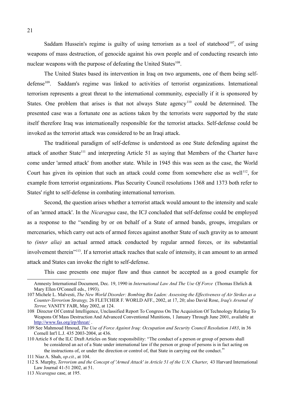Saddam Hussein's regime is guilty of using terrorism as a tool of statehood<sup>[107](#page-20-0)</sup>, of using weapons of mass destruction, of genocide against his own people and of conducting research into nuclear weapons with the purpose of defeating the United States<sup>[108](#page-20-1)</sup>.

The United States based its intervention in Iraq on two arguments, one of them being self-defense<sup>[109](#page-20-2)</sup>. Saddam's regime was linked to activities of terrorist organizations. International terrorism represents a great threat to the international community, especially if it is sponsored by States. One problem that arises is that not always State agency<sup>[110](#page-20-3)</sup> could be determined. The presented case was a fortunate one as actions taken by the terrorists were supported by the state itself therefore Iraq was internationally responsible for the terrorist attacks. Self-defense could be invoked as the terrorist attack was considered to be an Iraqi attack.

The traditional paradigm of self-defense is understood as one State defending against the attack of another State<sup>[111](#page-20-4)</sup> and interpreting Article 51 as saying that Members of the Charter have come under 'armed attack' from another state. While in 1945 this was seen as the case, the World Court has given its opinion that such an attack could come from somewhere else as well<sup>[112](#page-20-5)</sup>, for example from terrorist organizations. Plus Security Council resolutions 1368 and 1373 both refer to States' right to self-defense in combating international terrorism.

Second, the question arises whether a terrorist attack would amount to the intensity and scale of an 'armed attack'. In the *Nicaragua* case, the ICJ concluded that self-defense could be employed as a response to the "sending by or on behalf of a State of armed bands, groups, irregulars or mercenaries, which carry out acts of armed forces against another State of such gravity as to amount to *(inter alia)* an actual armed attack conducted by regular armed forces, or its substantial involvement therein<sup>"[13</sup>]. If a terrorist attack reaches that scale of intensity, it can amount to an armed attack and States can invoke the right to self-defense.

This case presents one major flaw and thus cannot be accepted as a good example for

Amnesty International Document, Dec. 19, 1990 in *International Law And The Use Of Force* (Thomas Ehrlich & Mary Ellen O'Connell eds., 1993).

<span id="page-20-0"></span><sup>107</sup> Michele L. Malvesti, *The New World Disorder: Bombing Bin Laden: Assessing the Effectiveness of Air Strikes as a Counter-Terrorism Strategy,* 26 FLETCHER F. WORLD AFF., 2002, at 17, 20; also David Rose, *Iraq's Arsenal of Terror,* VANITY FAIR, May 2002, at 124.

<span id="page-20-1"></span><sup>108</sup> Director Of Central Intelligence, Unclassified Report To Congress On The Acquisition Of Technology Relating To Weapons Of Mass Destruction And Advanced Conventional Munitions, 1 January Through June 2001, available at <http://www.fas.org/irp/threat/>.

<span id="page-20-2"></span><sup>109</sup> See Mahmoud Hmoud, *The Use of Force Against Iraq: Occupation and Security Council Resolution 1483*, in 36 Cornell Int'l L.J. 435 2003-2004, at 436.

<span id="page-20-3"></span><sup>110</sup> Article 8 of the ILC Draft Articles on State responsibility: "The conduct of a person or group of persons shall be considered an act of a State under international law if the person or group of persons is in fact acting on the instructions of, or under the direction or control of, that State in carrying out the conduct."

<span id="page-20-4"></span><sup>111</sup> Niaz A. Shah, *op.cit.*, at 104.

<span id="page-20-5"></span><sup>112</sup> S. Murphy, *Terrorism and the Concept of 'Armed Attack' in Article 51 of the U.N. Charter*, 43 Harvard International Law Journal 41-51 2002, at 51.

<span id="page-20-6"></span><sup>113</sup> *Nicaragua* case, at 195.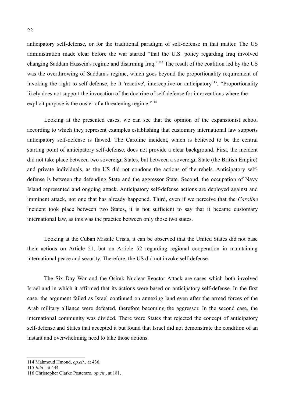anticipatory self-defense, or for the traditional paradigm of self-defense in that matter. The US administration made clear before the war started "that the U.S. policy regarding Iraq involved changing Saddam Hussein's regime and disarming Iraq."<sup>[114](#page-21-0)</sup> The result of the coalition led by the US was the overthrowing of Saddam's regime, which goes beyond the proportionality requirement of invoking the right to self-defense, be it 'reactive', interceptive or anticipatory<sup>[115](#page-21-1)</sup>. "Proportionality likely does not support the invocation of the doctrine of self-defense for interventions where the explicit purpose is the ouster of a threatening regime."<sup>[116](#page-21-2)</sup>

Looking at the presented cases, we can see that the opinion of the expansionist school according to which they represent examples establishing that customary international law supports anticipatory self-defense is flawed. The Caroline incident, which is believed to be the central starting point of anticipatory self-defense, does not provide a clear background. First, the incident did not take place between two sovereign States, but between a sovereign State (the British Empire) and private individuals, as the US did not condone the actions of the rebels. Anticipatory selfdefense is between the defending State and the aggressor State. Second, the occupation of Navy Island represented and ongoing attack. Anticipatory self-defense actions are deployed against and imminent attack, not one that has already happened. Third, even if we perceive that the *Caroline* incident took place between two States, it is not sufficient to say that it became customary international law, as this was the practice between only those two states.

Looking at the Cuban Missile Crisis, it can be observed that the United States did not base their actions on Article 51, but on Article 52 regarding regional cooperation in maintaining international peace and security. Therefore, the US did not invoke self-defense.

The Six Day War and the Osirak Nuclear Reactor Attack are cases which both involved Israel and in which it affirmed that its actions were based on anticipatory self-defense. In the first case, the argument failed as Israel continued on annexing land even after the armed forces of the Arab military alliance were defeated, therefore becoming the aggressor. In the second case, the international community was divided. There were States that rejected the concept of anticipatory self-defense and States that accepted it but found that Israel did not demonstrate the condition of an instant and overwhelming need to take those actions.

<span id="page-21-0"></span><sup>114</sup> Mahmoud Hmoud, *op.cit.*, at 436.

<span id="page-21-1"></span><sup>115</sup> *Ibid.*, at 444.

<span id="page-21-2"></span><sup>116</sup> Christopher Clarke Posteraro, *op.cit*., at 181.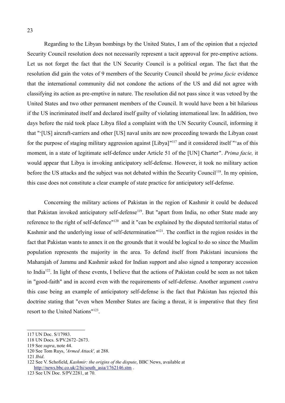Regarding to the Libyan bombings by the United States, I am of the opinion that a rejected Security Council resolution does not necessarily represent a tacit approval for pre-emptive actions. Let us not forget the fact that the UN Security Council is a political organ. The fact that the resolution did gain the votes of 9 members of the Security Council should be *prima facie* evidence that the international community did not condone the actions of the US and did not agree with classifying its action as pre-emptive in nature. The resolution did not pass since it was vetoed by the United States and two other permanent members of the Council. It would have been a bit hilarious if the US incriminated itself and declared itself guilty of violating international law. In addition, two days before the raid took place Libya filed a complaint with the UN Security Council, informing it that "'[US] aircraft-carriers and other [US] naval units are now proceeding towards the Libyan coast for the purpose of staging military aggression against [Libya]"<sup>[117](#page-22-0)</sup> and it considered itself "'as of this moment, in a state of legitimate self-defence under Article 51 of the [UN] Charter". *Prima facie,* it would appear that Libya is invoking anticipatory self-defense. However, it took no military action before the US attacks and the subject was not debated within the Security Council<sup>[118](#page-22-1)</sup>. In my opinion, this case does not constitute a clear example of state practice for anticipatory self-defense.

Concerning the military actions of Pakistan in the region of Kashmir it could be deduced that Pakistan invoked anticipatory self-defense<sup>[119](#page-22-2)</sup>. But "apart from India, no other State made any reference to the right of self-defence"<sup>[120](#page-22-3)</sup> and it "can be explained by the disputed territorial status of Kashmir and the underlying issue of self-determination" [121](#page-22-4). The conflict in the region resides in the fact that Pakistan wants to annex it on the grounds that it would be logical to do so since the Muslim population represents the majority in the area. To defend itself from Pakistani incursions the Maharajah of Jammu and Kashmir asked for Indian support and also signed a temporary accession to India<sup>[122](#page-22-5)</sup>. In light of these events, I believe that the actions of Pakistan could be seen as not taken in "good-faith" and in accord even with the requirements of self-defense. Another argument *contra* this case being an example of anticipatory self-defense is the fact that Pakistan has rejected this doctrine stating that "even when Member States are facing a threat, it is imperative that they first resort to the United Nations"<sup>[123](#page-22-6)</sup>.

<span id="page-22-0"></span><sup>117</sup> UN Doc. S/17983.

<span id="page-22-1"></span><sup>118</sup> UN Docs. S/PV.2672–2673.

<span id="page-22-2"></span><sup>119</sup> See *supra*, note 44.

<span id="page-22-3"></span><sup>120</sup> See Tom Ruys, *'Armed Attack',* at 288.

<span id="page-22-4"></span><sup>121</sup> *Ibid*.

<span id="page-22-5"></span><sup>122</sup> See V. Schofield, *Kashmir: the origins of the dispute*, BBC News, available at [http://news.bbc.co.uk/2/hi/south\\_asia/1762146.stm](http://news.bbc.co.uk/2/hi/south_asia/1762146.stm) .

<span id="page-22-6"></span><sup>123</sup> See UN Doc. S/PV.2281, at 70.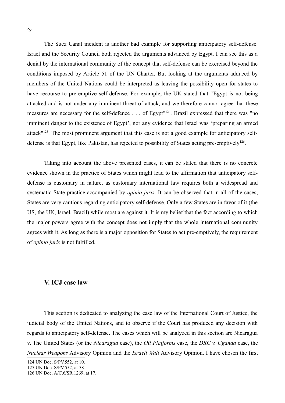The Suez Canal incident is another bad example for supporting anticipatory self-defense. Israel and the Security Council both rejected the arguments advanced by Egypt. I can see this as a denial by the international community of the concept that self-defense can be exercised beyond the conditions imposed by Article 51 of the UN Charter. But looking at the arguments adduced by members of the United Nations could be interpreted as leaving the possibility open for states to have recourse to pre-emptive self-defense. For example, the UK stated that "Egypt is not being attacked and is not under any imminent threat of attack, and we therefore cannot agree that these measures are necessary for the self-defence . . . of Egypt"<sup>[124](#page-23-0)</sup>. Brazil expressed that there was "no imminent danger to the existence of Egypt', nor any evidence that Israel was 'preparing an armed attack<sup>"[125](#page-23-1)</sup>. The most prominent argument that this case is not a good example for anticipatory self-defense is that Egypt, like Pakistan, has rejected to possibility of States acting pre-emptively<sup>[126](#page-23-2)</sup>.

Taking into account the above presented cases, it can be stated that there is no concrete evidence shown in the practice of States which might lead to the affirmation that anticipatory selfdefense is customary in nature, as customary international law requires both a widespread and systematic State practice accompanied by *opinio juris*. It can be observed that in all of the cases, States are very cautious regarding anticipatory self-defense. Only a few States are in favor of it (the US, the UK, Israel, Brazil) while most are against it. It is my belief that the fact according to which the major powers agree with the concept does not imply that the whole international community agrees with it. As long as there is a major opposition for States to act pre-emptively, the requirement of *opinio juris* is not fulfilled.

#### **V. ICJ case law**

This section is dedicated to analyzing the case law of the International Court of Justice, the judicial body of the United Nations, and to observe if the Court has produced any decision with regards to anticipatory self-defense. The cases which will be analyzed in this section are Nicaragua v. The United States (or the *Nicaragua* case), the *Oil Platforms* case, the *DRC v. Uganda* case, the *Nuclear Weapons* Advisory Opinion and the *Israeli Wall* Advisory Opinion. I have chosen the first

<span id="page-23-0"></span><sup>124</sup> UN Doc. S/PV.552, at 10.

<span id="page-23-1"></span><sup>125</sup> UN Doc. S/PV.552, at 58.

<span id="page-23-2"></span><sup>126</sup> UN Doc. A/C.6/SR.1269, at 17.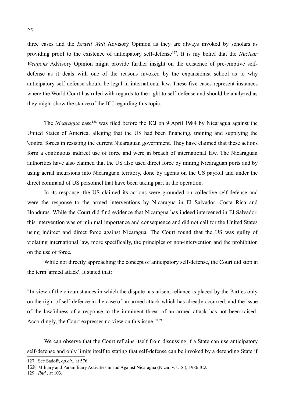three cases and the *Israeli Wall* Advisory Opinion as they are always invoked by scholars as providing proof to the existence of anticipatory self-defense<sup>[127](#page-24-0)</sup>. It is my belief that the *Nuclear Weapons* Advisory Opinion might provide further insight on the existence of pre-emptive selfdefense as it deals with one of the reasons invoked by the expansionist school as to why anticipatory self-defense should be legal in international law. These five cases represent instances where the World Court has ruled with regards to the right to self-defense and should be analyzed as they might show the stance of the ICJ regarding this topic.

The *Nicaragua* case<sup>[128](#page-24-1)</sup> was filed before the ICJ on 9 April 1984 by Nicaragua against the United States of America, alleging that the US had been financing, training and supplying the 'contra' forces in resisting the current Nicaraguan government. They have claimed that these actions form a continuous indirect use of force and were in breach of international law. The Nicaraguan authorities have also claimed that the US also used direct force by mining Nicaraguan ports and by using aerial incursions into Nicaraguan territory, done by agents on the US payroll and under the direct command of US personnel that have been taking part in the operation.

In its response, the US claimed its actions were grounded on collective self-defense and were the response to the armed interventions by Nicaragua in El Salvador, Costa Rica and Honduras. While the Court did find evidence that Nicaragua has indeed intervened in El Salvador, this intervention was of minimal importance and consequence and did not call for the United States using indirect and direct force against Nicaragua. The Court found that the US was guilty of violating international law, more specifically, the principles of non-intervention and the prohibition on the use of force.

While not directly approaching the concept of anticipatory self-defense, the Court did stop at the term 'armed attack'. It stated that:

"In view of the circumstances in which the dispute has arisen, reliance is placed by the Parties only on the right of self-defence in the case of an armed attack which has already occurred, and the issue of the lawfulness of a response to the imminent threat of an armed attack has not been raised. Accordingly, the Court expresses no view on this issue."<sup>[129](#page-24-2)</sup>

We can observe that the Court refrains itself from discussing if a State can use anticipatory self-defense and only limits itself to stating that self-defense can be invoked by a defending State if

<span id="page-24-2"></span>129 *Ibid.*, at 103.

<span id="page-24-0"></span><sup>127</sup> See Sadoff, *op.cit.*, at 576.

<span id="page-24-1"></span><sup>128</sup> Military and Paramilitary Activities in and Against Nicaragua (Nicar. v. U.S.), 1986 ICJ.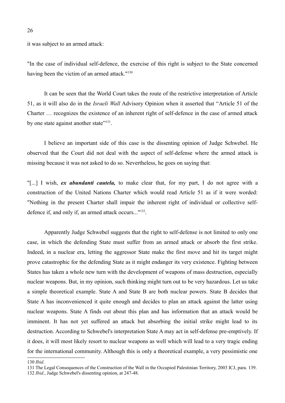it was subject to an armed attack:

"In the case of individual self-defence, the exercise of this right is subject to the State concerned having been the victim of an armed attack."<sup>[130](#page-25-0)</sup>

It can be seen that the World Court takes the route of the restrictive interpretation of Article 51, as it will also do in the *Israeli Wall* Advisory Opinion when it asserted that "Article 51 of the Charter … recognizes the existence of an inherent right of self-defence in the case of armed attack by one state against another state"<sup>[131](#page-25-1)</sup>.

I believe an important side of this case is the dissenting opinion of Judge Schwebel. He observed that the Court did not deal with the aspect of self-defense where the armed attack is missing because it was not asked to do so. Nevertheless, he goes on saying that:

"[...] I wish, *ex abundanti cautela,* to make clear that, for my part, I do not agree with a construction of the United Nations Charter which would read Article 51 as if it were worded: "Nothing in the present Charter shall impair the inherent right of individual or collective selfdefence if, and only if, an armed attack occurs..." [132](#page-25-2) .

Apparently Judge Schwebel suggests that the right to self-defense is not limited to only one case, in which the defending State must suffer from an armed attack or absorb the first strike. Indeed, in a nuclear era, letting the aggressor State make the first move and hit its target might prove catastrophic for the defending State as it might endanger its very existence. Fighting between States has taken a whole new turn with the development of weapons of mass destruction, especially nuclear weapons. But, in my opinion, such thinking might turn out to be very hazardous. Let us take a simple theoretical example. State A and State B are both nuclear powers. State B decides that State A has inconvenienced it quite enough and decides to plan an attack against the latter using nuclear weapons. State A finds out about this plan and has information that an attack would be imminent. It has not yet suffered an attack but absorbing the initial strike might lead to its destruction. According to Schwebel's interpretation State A may act in self-defense pre-emptively. If it does, it will most likely resort to nuclear weapons as well which will lead to a very tragic ending for the international community. Although this is only a theoretical example, a very pessimistic one

<span id="page-25-0"></span><sup>130</sup> *Ibid*.

<span id="page-25-2"></span><span id="page-25-1"></span><sup>131</sup> The Legal Consequences of the Construction of the Wall in the Occupied Palestinian Territory, 2003 ICJ, para. 139. 132 *Ibid.*, Judge Schwebel's dissenting opinion, at 247-48.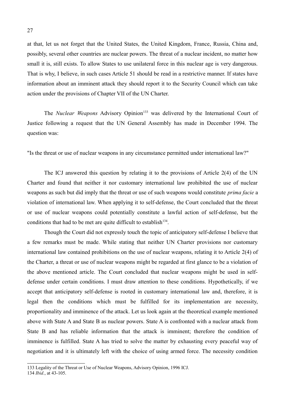at that, let us not forget that the United States, the United Kingdom, France, Russia, China and, possibly, several other countries are nuclear powers. The threat of a nuclear incident, no matter how small it is, still exists. To allow States to use unilateral force in this nuclear age is very dangerous. That is why, I believe, in such cases Article 51 should be read in a restrictive manner. If states have information about an imminent attack they should report it to the Security Council which can take action under the provisions of Chapter VII of the UN Charter.

The *Nuclear Weapons* Advisory Opinion<sup>[133](#page-26-0)</sup> was delivered by the International Court of Justice following a request that the UN General Assembly has made in December 1994. The question was:

"Is the threat or use of nuclear weapons in any circumstance permitted under international law?"

The ICJ answered this question by relating it to the provisions of Article 2(4) of the UN Charter and found that neither it nor customary international law prohibited the use of nuclear weapons as such but did imply that the threat or use of such weapons would constitute *prima facie* a violation of international law. When applying it to self-defense, the Court concluded that the threat or use of nuclear weapons could potentially constitute a lawful action of self-defense, but the conditions that had to be met are quite difficult to establish $134$ .

Though the Court did not expressly touch the topic of anticipatory self-defense I believe that a few remarks must be made. While stating that neither UN Charter provisions nor customary international law contained prohibitions on the use of nuclear weapons, relating it to Article 2(4) of the Charter, a threat or use of nuclear weapons might be regarded at first glance to be a violation of the above mentioned article. The Court concluded that nuclear weapons might be used in selfdefense under certain conditions. I must draw attention to these conditions. Hypothetically, if we accept that anticipatory self-defense is rooted in customary international law and, therefore, it is legal then the conditions which must be fulfilled for its implementation are necessity, proportionality and imminence of the attack. Let us look again at the theoretical example mentioned above with State A and State B as nuclear powers. State A is confronted with a nuclear attack from State B and has reliable information that the attack is imminent; therefore the condition of imminence is fulfilled. State A has tried to solve the matter by exhausting every peaceful way of negotiation and it is ultimately left with the choice of using armed force. The necessity condition

<span id="page-26-0"></span><sup>133</sup> Legality of the Threat or Use of Nuclear Weapons, Advisory Opinion, 1996 ICJ.

<span id="page-26-1"></span><sup>134</sup> *Ibid.*, at 43-105.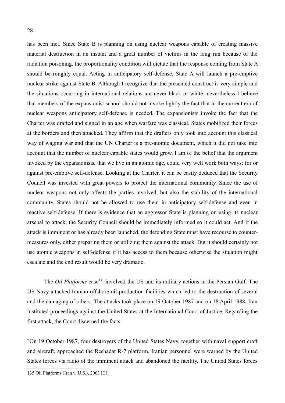has been met. Since State B is planning on using nuclear weapons capable of creating massive material destruction in an instant and a great number of victims in the long run because of the radiation poisoning, the proportionality condition will dictate that the response coming from State A should be roughly equal. Acting in anticipatory self-defense, State A will launch a pre-emptive nuclear strike against State B. Although I recognize that the presented construct is very simple and the situations occurring in international relations are never black or white, nevertheless I believe that members of the expansionist school should not invoke lightly the fact that in the current era of nuclear weapons anticipatory self-defense is needed. The expansionists invoke the fact that the Charter was drafted and signed in an age when warfare was classical. States mobilized their forces at the borders and then attacked. They affirm that the drafters only took into account this classical way of waging war and that the UN Charter is a pre-atomic document, which it did not take into account that the number of nuclear capable states would grow. I am of the belief that the argument invoked by the expansionists, that we live in an atomic age, could very well work both ways: for or against pre-emptive self-defense. Looking at the Charter, it can be easily deduced that the Security Council was invested with great powers to protect the international community. Since the use of nuclear weapons not only affects the parties involved, but also the stability of the international community, States should not be allowed to use them in anticipatory self-defense and even in reactive self-defense. If there is evidence that an aggressor State is planning on using its nuclear arsenal to attack, the Security Council should be immediately informed so it could act. And if the attack is imminent or has already been launched, the defending State must have recourse to countermeasures only, either preparing them or utilizing them against the attack. But it should certainly not use atomic weapons in self-defense if it has access to them because otherwise the situation might escalate and the end result would be very dramatic.

The *Oil Platforms* case<sup>[135](#page-27-0)</sup> involved the US and its military actions in the Persian Gulf. The US Navy attacked Iranian offshore oil production facilities which led to the destruction of several and the damaging of others. The attacks took place on 19 October 1987 and on 18 April 1988. Iran instituted proceedings against the United States at the International Court of Justice. Regarding the first attack, the Court discerned the facts:

"On 19 October 1987, four destroyers of the United States Navy, together with naval support craft and aircraft, approached the Reshadat R-7 platform. Iranian personnel were warned by the United States forces via radio of the imminent attack and abandoned the facility. The United States forces

<span id="page-27-0"></span><sup>135</sup> Oil Platforms (Iran v. U.S.), 2003 ICJ.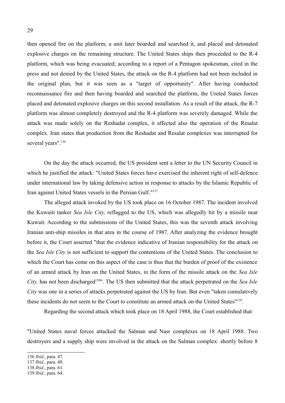then opened fire on the platform; a unit later boarded and searched it, and placed and detonated explosive charges on the remaining structure. The United States ships then proceeded to the R-4 platform, which was being evacuated; according to a report of a Pentagon spokesman, cited in the press and not denied by the United States, the attack on the R-4 platform had not been included in the original plan, but it was seen as a "target of opportunity". After having conducted reconnaissance fire and then having boarded and searched the platform, the United States forces placed and detonated explosive charges on this second installation. As a result of the attack, the R-7 platform was almost completely destroyed and the R-4 platform was severely damaged. While the attack was made solely on the Reshadat complex, it affected also the operation of the Resalat complex. Iran states that production from the Reshadat and Resalat complexes was interrupted for several years".<sup>[136](#page-28-0)</sup>

On the day the attack occurred, the US president sent a letter to the UN Security Council in which he justified the attack: "United States forces have exercised the inherent right of self-defence under international law by taking defensive action in response to attacks by the Islamic Republic of Iran against United States vessels in the Persian Gulf."<sup>[137](#page-28-1)</sup>

The alleged attack invoked by the US took place on 16 October 1987. The incident involved the Kuwaiti tanker *Sea Isle City,* reflagged to the US, which was allegedly hit by a missile near Kuwait. According to the submissions of the United States, this was the seventh attack involving Iranian anti-ship missiles in that area in the course of 1987. After analyzing the evidence brought before it, the Court asserted "that the evidence indicative of Iranian responsibility for the attack on the *Sea Isle City* is not sufficient to support the contentions of the United States. The conclusion to which the Court has come on this aspect of the case is thus that the burden of proof of the existence of an armed attack by Iran on the United States, in the form of the missile attack on the *Sea Isle City*, has not been discharged<sup>[138](#page-28-2)</sup>". The US then submitted that the attack perpetrated on the *Sea Isle City* was one in a series of attacks perpetrated against the US by Iran. But even "taken cumulatively these incidents do not seem to the Court to constitute an armed attack on the United States" [139](#page-28-3) .

Regarding the second attack which took place on 18 April 1988, the Court established that:

"United States naval forces attacked the Salman and Nasr complexes on 18 April 1988. Two destroyers and a supply ship were involved in the attack on the Salman complex: shortly before 8

<span id="page-28-0"></span><sup>136</sup> *Ibid.*, para. 47.

<span id="page-28-1"></span><sup>137</sup> *Ibid.*, para. 48.

<span id="page-28-2"></span><sup>138</sup> *Ibid.*, para. 61.

<span id="page-28-3"></span><sup>139</sup> *Ibid.*, para. 64.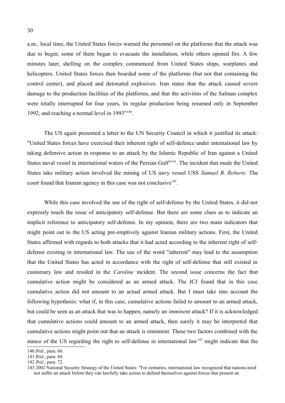a.m., local time, the United States forces warned the personnel on the platforms that the attack was due to begin; some of them began to evacuate the installation, while others opened fire. A few minutes later, shelling on the complex commenced from United States ships, warplanes and helicopters. United States forces then boarded some of the platforms (but not that containing the control center), and placed and detonated explosives. Iran states that the attack caused severe damage to the production facilities of the platforms, and that the activities of the Salman complex were totally interrupted for four years, its regular production being resumed only in September 1992, and reaching a normal level in 1993"<sup>[140](#page-29-0)</sup>.

The US again presented a letter to the UN Security Council in which it justified its attack: "United States forces have exercised their inherent right of self-defence under international law by taking defensive action in response to an attack by the Islamic Republic of Iran against a United States naval vessel in international waters of the Persian Gulf"<sup>[141](#page-29-1)</sup>. The incident that made the United States take military action involved the mining of US navy vessel USS *Samuel B. Roberts.* The court found that Iranian agency in this case was not conclusive<sup>[142](#page-29-2)</sup>.

While this case involved the use of the right of self-defense by the United States, it did not expressly touch the issue of anticipatory self-defense. But there are some clues as to indicate an implicit reference to anticipatory self-defense. In my opinion, there are two main indicators that might point out to the US acting pre-emptively against Iranian military actions. First, the United States affirmed with regards to both attacks that it had acted according to the inherent right of selfdefense existing in international law. The use of the word "inherent" may lead to the assumption that the United States has acted in accordance with the right of self-defense that still existed in customary law and resided in the *Caroline* incident. The second issue concerns the fact that cumulative action might be considered as an armed attack. The ICJ found that in this case cumulative action did not amount to an actual armed attack. But I must take into account the following hypothesis: what if, in this case, cumulative actions failed to amount to an armed attack, but could be seen as an attack that was to happen, namely an *imminent* attack? If it is acknowledged that cumulative actions could amount to an armed attack, then surely it may be interpreted that cumulative actions might point out that an attack is imminent. These two factors combined with the stance of the US regarding the right to self-defense in international law<sup>[143](#page-29-3)</sup> might indicate that the

<span id="page-29-0"></span><sup>140</sup> *Ibid.*, para. 66.

<span id="page-29-1"></span><sup>141</sup> *Ibid.*, para. 68.

<span id="page-29-2"></span><sup>142</sup> *Ibid.*, para. 72.

<span id="page-29-3"></span><sup>143 2002</sup> National Security Strategy of the United States: "For centuries, international law recognized that nations need not suffer an attack before they can lawfully take action to defend themselves against forces that present an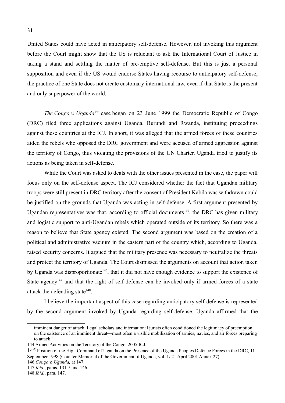United States could have acted in anticipatory self-defense. However, not invoking this argument before the Court might show that the US is reluctant to ask the International Court of Justice in taking a stand and settling the matter of pre-emptive self-defense. But this is just a personal supposition and even if the US would endorse States having recourse to anticipatory self-defense, the practice of one State does not create customary international law, even if that State is the present and only superpower of the world.

*The Congo v. Uganda*<sup>[144](#page-30-0)</sup> case began on 23 June 1999 the Democratic Republic of Congo (DRC) filed three applications against Uganda, Burundi and Rwanda, instituting proceedings against these countries at the ICJ. In short, it was alleged that the armed forces of these countries aided the rebels who opposed the DRC government and were accused of armed aggression against the territory of Congo, thus violating the provisions of the UN Charter. Uganda tried to justify its actions as being taken in self-defense.

While the Court was asked to deals with the other issues presented in the case, the paper will focus only on the self-defense aspect. The ICJ considered whether the fact that Ugandan military troops were still present in DRC territory after the consent of President Kabila was withdrawn could be justified on the grounds that Uganda was acting in self-defense. A first argument presented by Ugandan representatives was that, according to official documents<sup>[145](#page-30-1)</sup>, the DRC has given military and logistic support to anti-Ugandan rebels which operated outside of its territory. So there was a reason to believe that State agency existed. The second argument was based on the creation of a political and administrative vacuum in the eastern part of the country which, according to Uganda, raised security concerns. It argued that the military presence was necessary to neutralize the threats and protect the territory of Uganda. The Court dismissed the arguments on account that action taken by Uganda was disproportionate<sup>[146](#page-30-2)</sup>, that it did not have enough evidence to support the existence of State agency<sup>[147](#page-30-3)</sup> and that the right of self-defense can be invoked only if armed forces of a state attack the defending state<sup>[148](#page-30-4)</sup>.

I believe the important aspect of this case regarding anticipatory self-defense is represented by the second argument invoked by Uganda regarding self-defense. Uganda affirmed that the

<span id="page-30-2"></span>146 *Congo v. Uganda,* at 147.

imminent danger of attack. Legal scholars and international jurists often conditioned the legitimacy of preemption on the existence of an imminent threat—most often a visible mobilization of armies, navies, and air forces preparing to attack."

<span id="page-30-0"></span><sup>144</sup> Armed Activities on the Territory of the Congo, 2005 ICJ.

<span id="page-30-1"></span><sup>145</sup> Position of the High Command of Uganda on the Presence of the Uganda Peoples Defence Forces in the DRC, 11 September 1998 (Counter-Memorial of the Government of Uganda, vol. 1**,** 21 April 2001 Annex 27).

<span id="page-30-3"></span><sup>147</sup> *Ibid.*, paras. 131-5 and 146.

<span id="page-30-4"></span><sup>148</sup> *Ibid.*, para. 147.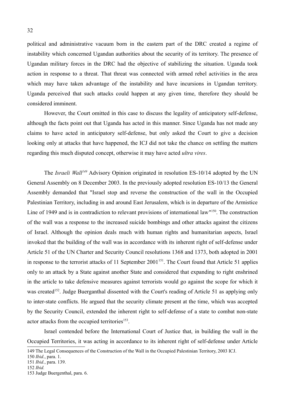political and administrative vacuum born in the eastern part of the DRC created a regime of instability which concerned Ugandan authorities about the security of its territory. The presence of Ugandan military forces in the DRC had the objective of stabilizing the situation. Uganda took action in response to a threat. That threat was connected with armed rebel activities in the area which may have taken advantage of the instability and have incursions in Ugandan territory. Uganda perceived that such attacks could happen at any given time, therefore they should be considered imminent.

However, the Court omitted in this case to discuss the legality of anticipatory self-defense, although the facts point out that Uganda has acted in this manner. Since Uganda has not made any claims to have acted in anticipatory self-defense, but only asked the Court to give a decision looking only at attacks that have happened, the ICJ did not take the chance on settling the matters regarding this much disputed concept, otherwise it may have acted *ultra vires*.

The *Israeli Wall[149](#page-31-0)* Advisory Opinion originated in resolution ES-10/14 adopted by the UN General Assembly on 8 December 2003. In the previously adopted resolution ES-10/13 the General Assembly demanded that "Israel stop and reverse the construction of the wall in the Occupied Palestinian Territory, including in and around East Jerusalem, which is in departure of the Armistice Line of 1949 and is in contradiction to relevant provisions of international law<sup>"[150](#page-31-1)</sup>. The construction of the wall was a response to the increased suicide bombings and other attacks against the citizens of Israel. Although the opinion deals much with human rights and humanitarian aspects, Israel invoked that the building of the wall was in accordance with its inherent right of self-defense under Article 51 of the UN Charter and Security Council resolutions 1368 and 1373, both adopted in 2001 in response to the terrorist attacks of 11 September  $2001^{151}$  $2001^{151}$  $2001^{151}$ . The Court found that Article 51 applies only to an attack by a State against another State and considered that expanding to right enshrined in the article to take defensive measures against terrorists would go against the scope for which it was created<sup>[152](#page-31-3)</sup>. Judge Buerganthal dissented with the Court's reading of Article 51 as applying only to inter-state conflicts. He argued that the security climate present at the time, which was accepted by the Security Council, extended the inherent right to self-defense of a state to combat non-state actor attacks from the occupied territories<sup>[153](#page-31-4)</sup>.

Israel contended before the International Court of Justice that, in building the wall in the Occupied Territories, it was acting in accordance to its inherent right of self-defense under Article

<span id="page-31-0"></span><sup>149</sup> The Legal Consequences of the Construction of the Wall in the Occupied Palestinian Territory, 2003 ICJ.

<span id="page-31-1"></span><sup>150</sup> *Ibid.*, para. 1.

<span id="page-31-2"></span><sup>151</sup> *Ibid.*, para. 139.

<span id="page-31-3"></span><sup>152</sup> *Ibid.*

<span id="page-31-4"></span><sup>153</sup> Judge Buergenthal, para. 6.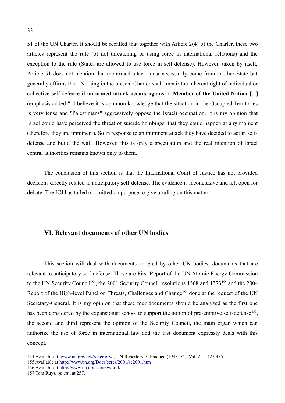51 of the UN Charter. It should be recalled that together with Article 2(4) of the Charter, these two articles represent the rule (of not threatening or using force in international relations) and the exception to the rule (States are allowed to use force in self-defense). However, taken by itself, Article 51 does not mention that the armed attack must necessarily come from another State but generally affirms that "Nothing in the present Charter shall impair the inherent right of individual or collective self-defence **if an armed attack occurs against a Member of the United Nation** [...] (emphasis added)". I believe it is common knowledge that the situation in the Occupied Territories is very tense and "Palestinians" aggressively oppose the Israeli occupation. It is my opinion that Israel could have perceived the threat of suicide bombings, that they could happen at any moment (therefore they are imminent). So in response to an imminent attack they have decided to act in selfdefense and build the wall. However, this is only a speculation and the real intention of Israel central authorities remains known only to them.

The conclusion of this section is that the International Court of Justice has not provided decisions directly related to anticipatory self-defense. The evidence is inconclusive and left open for debate. The ICJ has failed or omitted on purpose to give a ruling on this matter.

#### **VI. Relevant documents of other UN bodies**

This section will deal with documents adopted by other UN bodies, documents that are relevant to anticipatory self-defense. These are First Report of the UN Atomic Energy Commission to the UN Security Council<sup>[154](#page-32-0)</sup>, the 2001 Security Council resolutions 1368 and 1373<sup>[155](#page-32-1)</sup> and the 2004 Report of the High-level Panel on Threats, Challenges and Change<sup>[156](#page-32-2)</sup> done at the request of the UN Secretary-General. It is my opinion that these four documents should be analyzed as the first one has been considered by the expansionist school to support the notion of pre-emptive self-defense<sup>[157](#page-32-3)</sup>, the second and third represent the opinion of the Security Council, the main organ which can authorize the use of force in international law and the last document expressly deals with this concept.

<span id="page-32-0"></span><sup>154</sup> Available at [www.un.org/law/repertory/](http://www.un.org/law/repertory/) , UN Repertory of Practice (1945–54), Vol. 2, at 427-435.

<span id="page-32-1"></span><sup>155</sup> Available at<http://www.un.org/Docs/scres/2001/sc2001.htm>

<span id="page-32-2"></span><sup>156</sup> Available at<http://www.un.org/secureworld/>

<span id="page-32-3"></span><sup>157</sup> Tom Ruys, *op.cit.*, at 257.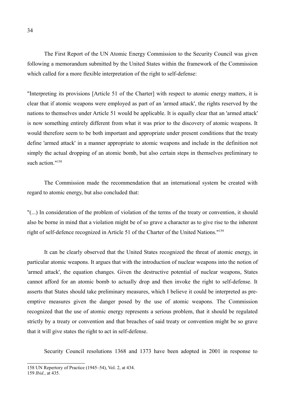The First Report of the UN Atomic Energy Commission to the Security Council was given following a memorandum submitted by the United States within the framework of the Commission which called for a more flexible interpretation of the right to self-defense:

"Interpreting its provisions [Article 51 of the Charter] with respect to atomic energy matters, it is clear that if atomic weapons were employed as part of an 'armed attack', the rights reserved by the nations to themselves under Article 51 would be applicable. It is equally clear that an 'armed attack' is now something entirely different from what it was prior to the discovery of atomic weapons. It would therefore seem to be both important and appropriate under present conditions that the treaty define 'armed attack' in a manner appropriate to atomic weapons and include in the definition not simply the actual dropping of an atomic bomb, but also certain steps in themselves preliminary to such action."<sup>[158](#page-33-0)</sup>

The Commission made the recommendation that an international system be created with regard to atomic energy, but also concluded that:

"(...) In consideration of the problem of violation of the terms of the treaty or convention, it should also be borne in mind that a violation might be of so grave a character as to give rise to the inherent right of self-defence recognized in Article 51 of the Charter of the United Nations." [159](#page-33-1)

It can be clearly observed that the United States recognized the threat of atomic energy, in particular atomic weapons. It argues that with the introduction of nuclear weapons into the notion of 'armed attack', the equation changes. Given the destructive potential of nuclear weapons, States cannot afford for an atomic bomb to actually drop and then invoke the right to self-defense. It asserts that States should take preliminary measures, which I believe it could be interpreted as preemptive measures given the danger posed by the use of atomic weapons. The Commission recognized that the use of atomic energy represents a serious problem, that it should be regulated strictly by a treaty or convention and that breaches of said treaty or convention might be so grave that it will give states the right to act in self-defense.

Security Council resolutions 1368 and 1373 have been adopted in 2001 in response to

<span id="page-33-0"></span><sup>158</sup> UN Repertory of Practice (1945–54), Vol. 2, at 434.

<span id="page-33-1"></span><sup>159</sup> *Ibid.*, at 435.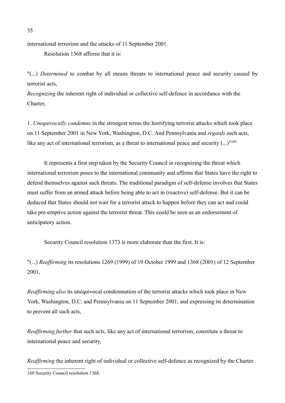international terrorism and the attacks of 11 September 2001.

Resolution 1368 affirms that it is:

"(...) *Determined* to combat by all means threats to international peace and security caused by terrorist acts,

*Recognizing* the inherent right of individual or collective self-defence in accordance with the Charter,

1. *Unequivocally condemns* in the strongest terms the horrifying terrorist attacks which took place on 11 September 2001 in New York, Washington, D.C. And Pennsylvania and *regards* such acts, like any act of international terrorism, as a threat to international peace and security (...)"<sup>[160](#page-34-0)</sup>

It represents a first step taken by the Security Council in recognizing the threat which international terrorism poses to the international community and affirms that States have the right to defend themselves against such threats. The traditional paradigm of self-defense involves that States must suffer from an armed attack before being able to act in (reactive) self-defense. But it can be deduced that States should not wait for a terrorist attack to happen before they can act and could take pre-emptive action against the terrorist threat. This could be seen as an endorsement of anticipatory action.

Security Council resolution 1373 is more elaborate than the first. It is:

"(...) *Reaffirming* its resolutions 1269 (1999) of 19 October 1999 and 1368 (2001) of 12 September 2001,

*Reaffirming also* its unequivocal condemnation of the terrorist attacks which took place in New York, Washington, D.C. and Pennsylvania on 11 September 2001, and expressing its determination to prevent all such acts,

*Reaffirming further* that such acts, like any act of international terrorism, constitute a threat to international peace and security,

<span id="page-34-0"></span>*Reaffirming* the inherent right of individual or collective self-defence as recognized by the Charter 160 Security Council resolution 1368.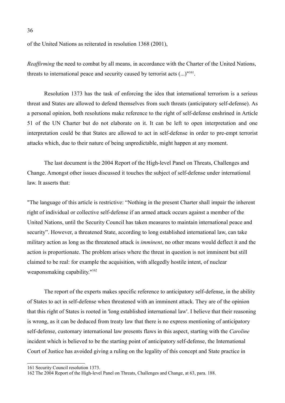of the United Nations as reiterated in resolution 1368 (2001),

*Reaffirming* the need to combat by all means, in accordance with the Charter of the United Nations, threats to international peace and security caused by terrorist acts  $(\dots)^{161}$  $(\dots)^{161}$  $(\dots)^{161}$ .

Resolution 1373 has the task of enforcing the idea that international terrorism is a serious threat and States are allowed to defend themselves from such threats (anticipatory self-defense). As a personal opinion, both resolutions make reference to the right of self-defense enshrined in Article 51 of the UN Charter but do not elaborate on it. It can be left to open interpretation and one interpretation could be that States are allowed to act in self-defense in order to pre-empt terrorist attacks which, due to their nature of being unpredictable, might happen at any moment.

The last document is the 2004 Report of the High-level Panel on Threats, Challenges and Change. Amongst other issues discussed it touches the subject of self-defense under international law. It asserts that:

"The language of this article is restrictive: "Nothing in the present Charter shall impair the inherent right of individual or collective self-defense if an armed attack occurs against a member of the United Nations, until the Security Council has taken measures to maintain international peace and security". However, a threatened State, according to long established international law, can take military action as long as the threatened attack is *imminent*, no other means would deflect it and the action is proportionate. The problem arises where the threat in question is not imminent but still claimed to be real: for example the acquisition, with allegedly hostile intent, of nuclear weaponsmaking capability."<sup>[162](#page-35-1)</sup>

The report of the experts makes specific reference to anticipatory self-defense, in the ability of States to act in self-defense when threatened with an imminent attack. They are of the opinion that this right of States is rooted in 'long established international law'. I believe that their reasoning is wrong, as it can be deduced from treaty law that there is no express mentioning of anticipatory self-defense, customary international law presents flaws in this aspect, starting with the *Caroline* incident which is believed to be the starting point of anticipatory self-defense, the International Court of Justice has avoided giving a ruling on the legality of this concept and State practice in

<span id="page-35-0"></span><sup>161</sup> Security Council resolution 1373.

<span id="page-35-1"></span><sup>162</sup> The 2004 Report of the High-level Panel on Threats, Challenges and Change, at 63, para. 188.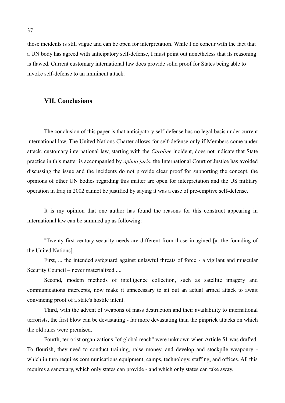those incidents is still vague and can be open for interpretation. While I do concur with the fact that a UN body has agreed with anticipatory self-defense, I must point out nonetheless that its reasoning is flawed. Current customary international law does provide solid proof for States being able to invoke self-defense to an imminent attack.

#### **VII. Conclusions**

The conclusion of this paper is that anticipatory self-defense has no legal basis under current international law. The United Nations Charter allows for self-defense only if Members come under attack, customary international law, starting with the *Caroline* incident, does not indicate that State practice in this matter is accompanied by *opinio juris*, the International Court of Justice has avoided discussing the issue and the incidents do not provide clear proof for supporting the concept, the opinions of other UN bodies regarding this matter are open for interpretation and the US military operation in Iraq in 2002 cannot be justified by saying it was a case of pre-emptive self-defense.

It is my opinion that one author has found the reasons for this construct appearing in international law can be summed up as following:

"Twenty-first-century security needs are different from those imagined [at the founding of the United Nations].

First, ... the intended safeguard against unlawful threats of force - a vigilant and muscular Security Council – never materialized ....

Second, modem methods of intelligence collection, such as satellite imagery and communications intercepts, now make it unnecessary to sit out an actual armed attack to await convincing proof of a state's hostile intent.

Third, with the advent of weapons of mass destruction and their availability to international terrorists, the first blow can be devastating - far more devastating than the pinprick attacks on which the old rules were premised.

Fourth, terrorist organizations "of global reach" were unknown when Article 51 was drafted. To flourish, they need to conduct training, raise money, and develop and stockpile weaponry which in turn requires communications equipment, camps, technology, staffing, and offices. All this requires a sanctuary, which only states can provide - and which only states can take away.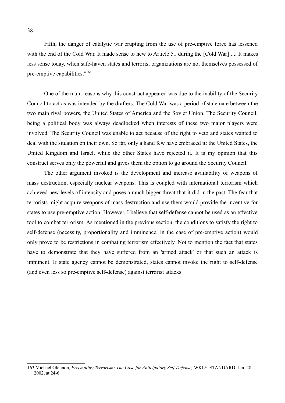Fifth, the danger of catalytic war erupting from the use of pre-emptive force has lessened with the end of the Cold War. It made sense to hew to Article 51 during the [Cold War] .... It makes less sense today, when safe-haven states and terrorist organizations are not themselves possessed of pre-emptive capabilities." [163](#page-37-0)

One of the main reasons why this construct appeared was due to the inability of the Security Council to act as was intended by the drafters. The Cold War was a period of stalemate between the two main rival powers, the United States of America and the Soviet Union. The Security Council, being a political body was always deadlocked when interests of these two major players were involved. The Security Council was unable to act because of the right to veto and states wanted to deal with the situation on their own. So far, only a hand few have embraced it: the United States, the United Kingdom and Israel, while the other States have rejected it. It is my opinion that this construct serves only the powerful and gives them the option to go around the Security Council.

The other argument invoked is the development and increase availability of weapons of mass destruction, especially nuclear weapons. This is coupled with international terrorism which achieved new levels of intensity and poses a much bigger threat that it did in the past. The fear that terrorists might acquire weapons of mass destruction and use them would provide the incentive for states to use pre-emptive action. However, I believe that self-defense cannot be used as an effective tool to combat terrorism. As mentioned in the previous section, the conditions to satisfy the right to self-defense (necessity, proportionality and imminence, in the case of pre-emptive action) would only prove to be restrictions in combating terrorism effectively. Not to mention the fact that states have to demonstrate that they have suffered from an 'armed attack' or that such an attack is imminent. If state agency cannot be demonstrated, states cannot invoke the right to self-defense (and even less so pre-emptive self-defense) against terrorist attacks.

<span id="page-37-0"></span><sup>163</sup> Michael Glennon, *Preempting Terrorism; The Case for Anticipatory Self-Defense,* WKLY. STANDARD, Jan. 28, 2002, at 24-6.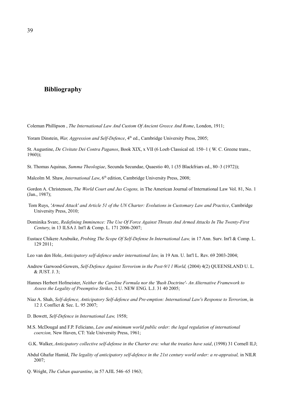#### **Bibliography**

Coleman Phillipson , *The International Law And Custom Of Ancient Greece And Rome*, London, 1911;

Yoram Dinstein, *War, Aggression and Self-Defence*, 4<sup>th</sup> ed., Cambridge University Press, 2005;

St. Augustine, *De Civitate Dei Contra Paganos*, Book XIX, x VII (6 Loeb Classical ed. 150–1 ( W. C. Greene trans.,  $1960$ );

St. Thomas Aquinas, *Summa Theologiae*, Secunda Secundae, Quaestio 40, 1 (35 Blackfriars ed., 80–3 (1972));

Malcolm M. Shaw, *International Law*, 6<sup>th</sup> edition, Cambridge University Press, 2008;

Gordon A. Christenson, *The World Court and Jus Cogens,* in The American Journal of International Law Vol. 81, No. 1 (Jan., 1987);

- Tom Ruys, *'Armed Attack' and Article 51 of the UN Charter: Evolutions in Customary Law and Practice*, Cambridge University Press, 2010;
- Dominika Svarc, *Redefining Imminence: The Use Of Force Against Threats And Armed Attacks In The Twenty-First Century*, in 13 ILSA J. Int'l & Comp. L. 171 2006-2007;
- Eustace Chikere Azubuike, *Probing The Scope Of Self-Defense In International Law,* in 17 Ann. Surv. Int'l & Comp. L. 129 2011;
- Leo van den Hole, *Anticipatory self-defence under international law,* in 19 Am. U. Int'l L. Rev. 69 2003-2004;
- Andrew Garwood-Gowers, *Self-Defence Against Terrorism in the Post-9/1 l World, (2004) 4(2) QUEENSLAND U.L.* & JUST. J. 3;
- Hannes Herbert Hofmeister, *Neither the Caroline Formula nor the 'Bush Doctrine'- An Alternative Framework to Assess the Legality of Preemptive Strikes,* 2 U. NEW ENG. L.J. 31 40 2005;
- Niaz A. Shah, *Self-defence, Anticipatory Self-defence and Pre-emption: International Law's Response to Terrorism*, in 12 J. Conflict & Sec. L. 95 2007;
- D. Bowett, *Self-Defence in International Law,* 1958;
- M.S. McDougal and F.P. Feliciano, *Law and minimum world public order: the legal regulation of international coercion,* New Haven, CT: Yale University Press, 1961;
- G.K. Walker, *Anticipatory collective self-defense in the Charter era: what the treaties have said*, (1998) 31 Cornell ILJ;
- Abdul Ghafur Hamid, *The legality of anticipatory self-defence in the 21st century world order: a re-appraisal,* in NILR  $2007$
- Q. Wright, *The Cuban quarantine*, in 57 AJIL 546–65 1963;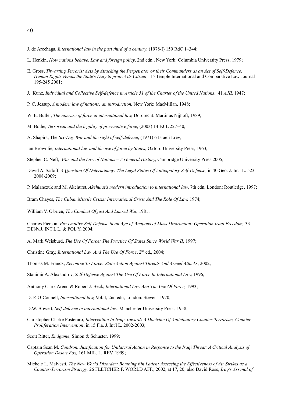- J. de Arechaga, *International law in the past third of a century*, (1978-I) 159 RdC 1–344;
- L. Henkin, *How nations behave. Law and foreign policy*, 2nd edn., New York: Columbia University Press, 1979;
- E. Gross, *Thwarting Terrorist Acts by Attacking the Perpetrator or their Commanders as an Act of Self-Defence: Human Rights Versus the State's Duty to protect its Citizen*, 15 Temple International and Comparative Law Journal 195-245 2001;
- J**.** Kunz, *Individual and Collective Self-defence in Article 51 of the Charter of the United Nations*, 41 *AJIL* 1947;
- P. C. Jessup, *A modern law of nations: an introduction,* New York: MacMillan, 1948;
- W. E. Butler, *The non-use of force in international law,* Dordrecht: Martinus Nijhoff, 1989;
- M. Bothe, *Terrorism and the legality of pre-emptive force*, (2003) 14 EJIL 227–40;
- A. Shapira, The *Six-Day War and the right of self-defence*, (1971) 6 Israeli Lrev;
- Ian Brownlie, *International law and the use of force by States*, Oxford University Press, 1963;
- Stephen C. Neff, *War and the Law of Nations A General History*, Cambridge University Press 2005;
- David A. Sadoff, *A Question Of Determinacy: The Legal Status Of Anticipatory Self-Defense*, in 40 Geo. J. Int'l L. 523 2008-2009;
- P. Malanczuk and M. Akehurst, *Akehurst's modern introduction to international law*, 7th edn, London: Routledge, 1997;
- Bram Chayes, *The Cuban Missile Crisis: International Crisis And The Role Of Law*, 1974;

William V. O'brien, *The Conduct Of just And Limred War,* 1981;

Charles Pierson, *Pre-emptive Self-Defense in an Age of Weapons of Mass Destruction: Operation Iraqi Freedom,* 33 DENv.J. INT'L L. & POL'Y, 2004;

- A. Mark Weisburd, *The Use Of Force: The Practice Of States Since World War II*, 1997;
- Christine Gray, *International Law And The Use Of Force*, 2<sup>nd</sup> ed., 2004;
- Thomas M. Franck, *Recourse To Force: State Action Against Threats And Armed Attacks*, 2002;
- Stanimir A. Alexandrov, *Self-Defense Against The Use Of Force In International Law, 1996*;
- Anthony Clark Arend *&* Robert J. Beck, *International Law And The Use Of Force,* 1993;
- D. P. O'Connell, *International law,* Vol. I, 2nd edn, London: Stevens 1970;
- D.W. Bowett, *Self-defence in international law,* Manchester University Press, 1958;
- Christopher Clarke Posteraro*, Intervention In Iraq: Towards A Doctrine Of Anticipatory Counter-Terrorism, Counter-Proliferation Intervention*, in 15 Fla. J. Int'l L. 2002-2003;
- Scott Ritter, *Endgame,* Simon & Schuster, 1999;
- Captain Sean M. *Condron, Justification for Unilateral Action in Response to the Iraqi Threat: A Critical Analysis of Operation Desert Fox,* 161 MIL. L. REV. 1999;
- Michele L. Malvesti, *The New World Disorder: Bombing Bin Laden: Assessing the Effectiveness of Air Strikes as a Counter-Terrorism Strategy,* 26 FLETCHER F. WORLD AFF., 2002, at 17, 20; also David Rose, *Iraq's Arsenal of*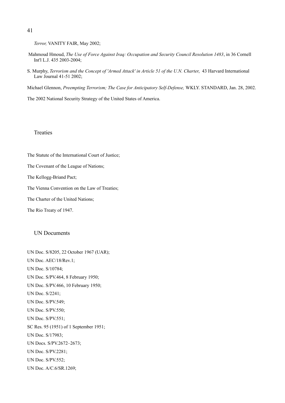*Terror,* VANITY FAIR, May 2002;

- Mahmoud Hmoud, *The Use of Force Against Iraq: Occupation and Security Council Resolution 1483*, in 36 Cornell Int'l L.J. 435 2003-2004;
- S. Murphy, *Terrorism and the Concept of 'Armed Attack' in Article 51 of the U.N. Charter*, 43 Harvard International Law Journal 41-51 2002;

Michael Glennon, *Preempting Terrorism; The Case for Anticipatory Self-Defense,* WKLY. STANDARD, Jan. 28, 2002.

The 2002 National Security Strategy of the United States of America.

#### **Treaties**

The Statute of the International Court of Justice;

The Covenant of the League of Nations;

The Kellogg-Briand Pact;

The Vienna Convention on the Law of Treaties;

The Charter of the United Nations;

The Rio Treaty of 1947.

#### UN Documents

UN Doc. S/8205, 22 October 1967 (UAR); UN Doc. AEC/18/Rev.1; UN Doc. S/10784; UN Doc. S/PV.464, 8 February 1950; UN Doc. S/PV.466, 10 February 1950; UN Doc. S/2241; UN Doc. S/PV.549; UN Doc. S/PV.550; UN Doc. S/PV.551; SC Res. 95 (1951) of 1 September 1951; UN Doc. S/17983; UN Docs. S/PV.2672–2673; UN Doc. S/PV.2281; UN Doc. S/PV.552; UN Doc. A/C.6/SR.1269;